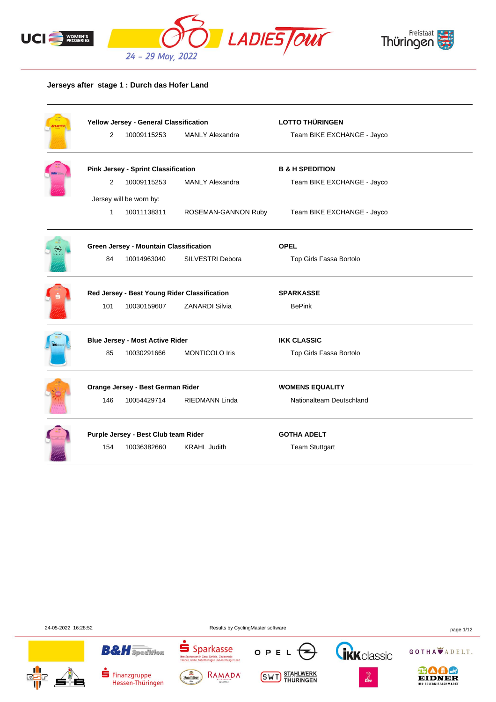





## **Jerseys after stage 1 : Durch das Hofer Land**

| <b>LOTT</b> | Yellow Jersey - General Classification |                                              |                        | <b>LOTTO THÜRINGEN</b>     |  |
|-------------|----------------------------------------|----------------------------------------------|------------------------|----------------------------|--|
|             | 2                                      | 10009115253                                  | <b>MANLY Alexandra</b> | Team BIKE EXCHANGE - Jayco |  |
|             |                                        | <b>Pink Jersey - Sprint Classification</b>   |                        | <b>B &amp; H SPEDITION</b> |  |
|             | 2                                      | 10009115253                                  | <b>MANLY Alexandra</b> | Team BIKE EXCHANGE - Jayco |  |
|             |                                        | Jersey will be worn by:                      |                        |                            |  |
|             | $\mathbf{1}$                           | 10011138311                                  | ROSEMAN-GANNON Ruby    | Team BIKE EXCHANGE - Jayco |  |
|             |                                        | Green Jersey - Mountain Classification       |                        | <b>OPEL</b>                |  |
|             | 84                                     | 10014963040                                  | SILVESTRI Debora       | Top Girls Fassa Bortolo    |  |
|             |                                        | Red Jersey - Best Young Rider Classification |                        | <b>SPARKASSE</b>           |  |
|             | 101                                    | 10030159607                                  | <b>ZANARDI Silvia</b>  | <b>BePink</b>              |  |
|             |                                        | <b>Blue Jersey - Most Active Rider</b>       |                        | <b>IKK CLASSIC</b>         |  |
|             | 85                                     | 10030291666                                  | <b>MONTICOLO Iris</b>  | Top Girls Fassa Bortolo    |  |
|             |                                        | Orange Jersey - Best German Rider            |                        | <b>WOMENS EQUALITY</b>     |  |
|             | 146                                    | 10054429714                                  | <b>RIEDMANN Linda</b>  | Nationalteam Deutschland   |  |
|             |                                        | Purple Jersey - Best Club team Rider         |                        | <b>GOTHA ADELT</b>         |  |
|             | 154                                    | 10036382660                                  | <b>KRAHL Judith</b>    | <b>Team Stuttgart</b>      |  |

**B&H** Spedition

Finanzgruppe

Hessen-Thüringen

24-05-2022 16:28:52 Results by CyclingMaster software page 1/12







Gera, Schleiz, Zeulenroda-<br>Itelthüringen und Altenburger Land

RAMADA

Thre Spa

Saalfelder



**SWT** STAHLWERK





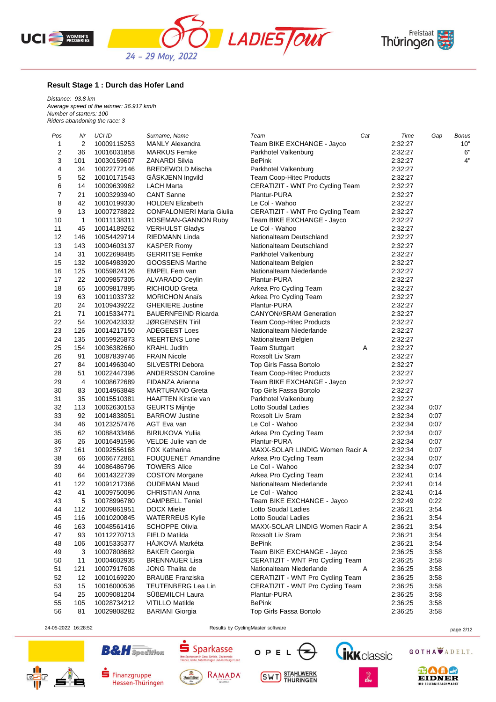





#### **Result Stage 1 : Durch das Hofer Land**

*Distance: 93.8 km Average speed of the winner: 36.917 km/h Number of starters: 100 Riders abandoning the race: 3*

| Pos                     | Nr           | UCI ID      | Surname, Name                    | Cat<br>Team                        | Time               | Gap          | Bonus |
|-------------------------|--------------|-------------|----------------------------------|------------------------------------|--------------------|--------------|-------|
| 1                       | 2            | 10009115253 | <b>MANLY Alexandra</b>           | Team BIKE EXCHANGE - Jayco         | 2:32:27            |              | 10"   |
| $\overline{\mathbf{c}}$ | 36           | 10016031858 | <b>MARKUS Femke</b>              | Parkhotel Valkenburg               | 2:32:27            |              | 6"    |
| 3                       | 101          | 10030159607 | ZANARDI Silvia                   | <b>BePink</b>                      | 2:32:27            |              | 4"    |
| 4                       | 34           | 10022772146 | <b>BREDEWOLD Mischa</b>          | Parkhotel Valkenburg               | 2:32:27            |              |       |
| 5                       | 52           | 10010171543 | GASKJENN Ingvild                 | Team Coop-Hitec Products           | 2:32:27            |              |       |
| 6                       | 14           | 10009639962 | <b>LACH Marta</b>                | CERATIZIT - WNT Pro Cycling Team   | 2:32:27            |              |       |
| 7                       | 21           | 10003293940 | <b>CANT Sanne</b>                | Plantur-PURA                       | 2:32:27            |              |       |
| 8                       | 42           | 10010199330 | <b>HOLDEN Elizabeth</b>          | Le Col - Wahoo                     | 2:32:27            |              |       |
| 9                       | 13           | 10007278822 | <b>CONFALONIERI Maria Giulia</b> | CERATIZIT - WNT Pro Cycling Team   | 2:32:27            |              |       |
| 10                      | $\mathbf{1}$ | 10011138311 | ROSEMAN-GANNON Ruby              | Team BIKE EXCHANGE - Jayco         | 2:32:27            |              |       |
| 11                      | 45           | 10014189262 | <b>VERHULST Gladys</b>           | Le Col - Wahoo                     | 2:32:27            |              |       |
| 12                      | 146          | 10054429714 | RIEDMANN Linda                   | Nationalteam Deutschland           | 2:32:27            |              |       |
| 13                      | 143          | 10004603137 | <b>KASPER Romy</b>               | Nationalteam Deutschland           | 2:32:27            |              |       |
| 14                      | 31           | 10022698485 | <b>GERRITSE Femke</b>            | Parkhotel Valkenburg               | 2:32:27            |              |       |
| 15                      | 132          | 10064983920 | GOOSSENS Marthe                  | Nationalteam Belgien               | 2:32:27            |              |       |
| 16                      | 125          | 10059824126 | EMPEL Fem van                    | Nationalteam Niederlande           | 2:32:27            |              |       |
| 17                      | 22           | 10009857305 | <b>ALVARADO Ceylin</b>           | Plantur-PURA                       | 2:32:27            |              |       |
| 18                      | 65           | 10009817895 | <b>RICHIOUD Greta</b>            | Arkea Pro Cycling Team             | 2:32:27            |              |       |
| 19                      | 63           | 10011033732 | <b>MORICHON Anaïs</b>            | Arkea Pro Cycling Team             | 2:32:27            |              |       |
| 20                      | 24           | 10109439222 | <b>GHEKIERE Justine</b>          | Plantur-PURA                       | 2:32:27            |              |       |
| 21                      | 71           | 10015334771 | <b>BAUERNFEIND Ricarda</b>       | <b>CANYON//SRAM Generation</b>     | 2:32:27            |              |       |
| 22                      | 54           | 10020423332 | <b>JØRGENSEN Tiril</b>           | <b>Team Coop-Hitec Products</b>    | 2:32:27            |              |       |
| 23                      | 126          | 10014217150 | <b>ADEGEEST Loes</b>             | Nationalteam Niederlande           | 2:32:27            |              |       |
| 24                      | 135          | 10059925873 | <b>MEERTENS Lone</b>             | Nationalteam Belgien               | 2:32:27            |              |       |
| 25                      | 154          | 10036382660 | <b>KRAHL Judith</b>              | <b>Team Stuttgart</b><br>Α         | 2:32:27            |              |       |
| 26                      | 91           | 10087839746 | <b>FRAIN Nicole</b>              | Roxsolt Liv Sram                   | 2:32:27            |              |       |
| 27                      | 84           | 10014963040 | SILVESTRI Debora                 | Top Girls Fassa Bortolo            | 2:32:27            |              |       |
| 28                      | 51           | 10022447396 | <b>ANDERSSON Caroline</b>        | Team Coop-Hitec Products           | 2:32:27            |              |       |
| 29                      | 4            | 10008672689 | FIDANZA Arianna                  | Team BIKE EXCHANGE - Jayco         | 2:32:27            |              |       |
| 30                      | 83           | 10014963848 | <b>MARTURANO Greta</b>           |                                    | 2:32:27            |              |       |
|                         |              |             |                                  | Top Girls Fassa Bortolo            |                    |              |       |
| 31                      | 35           | 10015510381 | <b>HAAFTEN Kirstie van</b>       | Parkhotel Valkenburg               | 2:32:27            |              |       |
| 32                      | 113          | 10062630153 | <b>GEURTS Mijntje</b>            | Lotto Soudal Ladies                | 2:32:34            | 0:07         |       |
| 33<br>34                | 92<br>46     | 10014838051 | <b>BARROW Justine</b>            | Roxsolt Liv Sram<br>Le Col - Wahoo | 2:32:34<br>2:32:34 | 0:07<br>0:07 |       |
|                         |              | 10123257476 | AGT Eva van                      |                                    |                    |              |       |
| 35                      | 62           | 10088433466 | <b>BIRIUKOVA Yulija</b>          | Arkea Pro Cycling Team             | 2:32:34            | 0:07         |       |
| 36                      | 26           | 10016491596 | VELDE Julie van de               | Plantur-PURA                       | 2:32:34            | 0:07         |       |
| 37                      | 161          | 10092556168 | FOX Katharina                    | MAXX-SOLAR LINDIG Women Racir A    | 2:32:34            | 0:07         |       |
| 38                      | 66           | 10066772861 | <b>FOUQUENET Amandine</b>        | Arkea Pro Cycling Team             | 2:32:34            | 0:07         |       |
| 39                      | 44           | 10086486796 | <b>TOWERS Alice</b>              | Le Col - Wahoo                     | 2:32:34            | 0:07         |       |
| 40                      | 64           | 10014322739 | <b>COSTON Morgane</b>            | Arkea Pro Cycling Team             | 2:32:41            | 0:14         |       |
| 41                      | 122          | 10091217366 | <b>OUDEMAN Maud</b>              | Nationalteam Niederlande           | 2:32:41            | 0:14         |       |
| 42                      | 41           | 10009750096 | CHRISTIAN Anna                   | Le Col - Wahoo                     | 2:32:41            | 0:14         |       |
| 43                      | 5            | 10078996780 | <b>CAMPBELL Teniel</b>           | Team BIKE EXCHANGE - Jayco         | 2:32:49            | 0:22         |       |
| 44                      | 112          | 10009861951 | DOCX Mieke                       | Lotto Soudal Ladies                | 2:36:21            | 3:54         |       |
| 45                      | 116          | 10010200845 | <b>WATERREUS Kylie</b>           | Lotto Soudal Ladies                | 2:36:21            | 3:54         |       |
| 46                      | 163          | 10048561416 | SCHOPPE Olivia                   | MAXX-SOLAR LINDIG Women Racir A    | 2:36:21            | 3:54         |       |
| 47                      | 93           | 10112270713 | FIELD Matilda                    | Roxsolt Liv Sram                   | 2:36:21            | 3:54         |       |
| 48                      | 106          | 10015335377 | HÁJKOVÁ Markéta                  | <b>BePink</b>                      | 2:36:21            | 3:54         |       |
| 49                      | 3            | 10007808682 | <b>BAKER Georgia</b>             | Team BIKE EXCHANGE - Jayco         | 2:36:25            | 3:58         |       |
| 50                      | 11           | 10004602935 | <b>BRENNAUER Lisa</b>            | CERATIZIT - WNT Pro Cycling Team   | 2:36:25            | 3:58         |       |
| 51                      | 121          | 10007917608 | JONG Thalita de                  | Nationalteam Niederlande<br>Α      | 2:36:25            | 3:58         |       |
| 52                      | 12           | 10010169220 | <b>BRAUßE Franziska</b>          | CERATIZIT - WNT Pro Cycling Team   | 2:36:25            | 3:58         |       |
| 53                      | 15           | 10016000536 | TEUTENBERG Lea Lin               | CERATIZIT - WNT Pro Cycling Team   | 2:36:25            | 3:58         |       |
| 54                      | 25           | 10009081204 | SÜßEMILCH Laura                  | Plantur-PURA                       | 2:36:25            | 3:58         |       |
| 55                      | 105          | 10028734212 | <b>VITILLO Matilde</b>           | <b>BePink</b>                      | 2:36:25            | 3:58         |       |
| 56                      | 81           | 10029808282 | <b>BARIANI</b> Giorgia           | Top Girls Fassa Bortolo            | 2:36:25            | 3:58         |       |

24-05-2022 16:28:52 Results by CyclingMaster software page 2/12





**B&H** Spedition



Gera, Schleiz, Zeulenroda-<br>Ittelthüringen und Altenburger Land

 $S<sub>parkasse</sub>$ 

Thre Spa







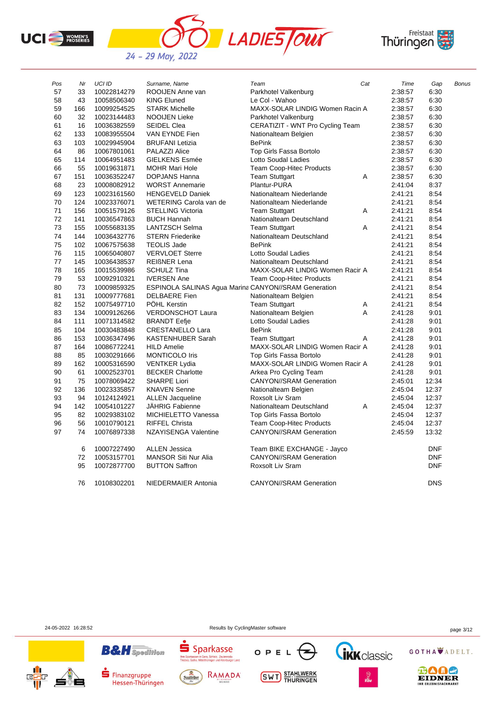





| Pos | Nr  | UCI ID      | Surname, Name                                               | Team                             | Cat | Time    | Gap        | <b>Bonus</b> |
|-----|-----|-------------|-------------------------------------------------------------|----------------------------------|-----|---------|------------|--------------|
| 57  | 33  | 10022814279 | ROOIJEN Anne van                                            | Parkhotel Valkenburg             |     | 2:38:57 | 6:30       |              |
| 58  | 43  | 10058506340 | <b>KING Eluned</b>                                          | Le Col - Wahoo                   |     | 2:38:57 | 6:30       |              |
| 59  | 166 | 10099254525 | <b>STARK Michelle</b>                                       | MAXX-SOLAR LINDIG Women Racin A  |     | 2:38:57 | 6:30       |              |
| 60  | 32  | 10023144483 | <b>NOOIJEN Lieke</b>                                        | Parkhotel Valkenburg             |     | 2:38:57 | 6:30       |              |
| 61  | 16  | 10036382559 | <b>SEIDEL Clea</b>                                          | CERATIZIT - WNT Pro Cycling Team |     | 2:38:57 | 6:30       |              |
| 62  | 133 | 10083955504 | VAN EYNDE Fien                                              | Nationalteam Belgien             |     | 2:38:57 | 6:30       |              |
| 63  | 103 | 10029945904 | <b>BRUFANI</b> Letizia                                      | <b>BePink</b>                    |     | 2:38:57 | 6:30       |              |
| 64  | 86  | 10067801061 | PALAZZI Alice                                               | Top Girls Fassa Bortolo          |     | 2:38:57 | 6:30       |              |
| 65  | 114 | 10064951483 | <b>GIELKENS Esmée</b>                                       | Lotto Soudal Ladies              |     | 2:38:57 | 6:30       |              |
| 66  | 55  | 10019631871 | <b>MOHR Mari Hole</b>                                       | <b>Team Coop-Hitec Products</b>  |     | 2:38:57 | 6:30       |              |
| 67  | 151 | 10036352247 | <b>DOPJANS Hanna</b>                                        | <b>Team Stuttgart</b>            | Α   | 2:38:57 | 6:30       |              |
| 68  | 23  | 10008082912 | <b>WORST Annemarie</b>                                      | Plantur-PURA                     |     | 2:41:04 | 8:37       |              |
| 69  | 123 | 10023161560 | <b>HENGEVELD Daniek</b>                                     | Nationalteam Niederlande         |     | 2:41:21 | 8:54       |              |
| 70  | 124 | 10023376071 | WETERING Carola van de                                      | Nationalteam Niederlande         |     | 2:41:21 | 8:54       |              |
| 71  | 156 | 10051579126 | <b>STELLING Victoria</b>                                    | <b>Team Stuttgart</b>            | A   | 2:41:21 | 8:54       |              |
| 72  | 141 | 10036547863 | <b>BUCH Hannah</b>                                          | Nationalteam Deutschland         |     | 2:41:21 | 8:54       |              |
| 73  | 155 | 10055683135 | LANTZSCH Selma                                              | <b>Team Stuttgart</b>            | Α   | 2:41:21 | 8:54       |              |
| 74  | 144 | 10036432776 | <b>STERN Friederike</b>                                     | Nationalteam Deutschland         |     | 2:41:21 | 8:54       |              |
| 75  | 102 | 10067575638 | <b>TEOLIS Jade</b>                                          | <b>BePink</b>                    |     | 2:41:21 | 8:54       |              |
| 76  | 115 | 10065040807 | <b>VERVLOET Sterre</b>                                      | Lotto Soudal Ladies              |     | 2:41:21 | 8:54       |              |
| 77  | 145 | 10036438537 | <b>REIßNER Lena</b>                                         | Nationalteam Deutschland         |     | 2:41:21 | 8:54       |              |
| 78  | 165 | 10015539986 | <b>SCHULZ Tina</b>                                          | MAXX-SOLAR LINDIG Women Racir A  |     | 2:41:21 | 8:54       |              |
| 79  | 53  | 10092910321 | <b>IVERSEN Ane</b>                                          | <b>Team Coop-Hitec Products</b>  |     | 2:41:21 | 8:54       |              |
| 80  | 73  | 10009859325 | <b>ESPINOLA SALINAS Agua Marina CANYON//SRAM Generation</b> |                                  |     | 2:41:21 | 8:54       |              |
| 81  | 131 | 10009777681 | <b>DELBAERE</b> Fien                                        | Nationalteam Belgien             |     | 2:41:21 | 8:54       |              |
| 82  | 152 | 10075497710 | PÖHL Kerstin                                                | <b>Team Stuttgart</b>            | Α   | 2:41:21 | 8:54       |              |
| 83  | 134 | 10009126266 | <b>VERDONSCHOT Laura</b>                                    | Nationalteam Belgien             | A   | 2:41:28 | 9:01       |              |
| 84  | 111 | 10071314582 | <b>BRANDT Eefje</b>                                         | Lotto Soudal Ladies              |     | 2:41:28 | 9:01       |              |
| 85  | 104 | 10030483848 | <b>CRESTANELLO Lara</b>                                     | <b>BePink</b>                    |     | 2:41:28 | 9:01       |              |
| 86  | 153 | 10036347496 | <b>KASTENHUBER Sarah</b>                                    | <b>Team Stuttgart</b>            | A   | 2:41:28 | 9:01       |              |
| 87  | 164 | 10086772241 | <b>HILD Amelie</b>                                          | MAXX-SOLAR LINDIG Women Racir A  |     | 2:41:28 | 9:01       |              |
| 88  | 85  | 10030291666 | <b>MONTICOLO Iris</b>                                       | Top Girls Fassa Bortolo          |     | 2:41:28 | 9:01       |              |
| 89  | 162 | 10005316590 | <b>VENTKER Lydia</b>                                        | MAXX-SOLAR LINDIG Women Racir A  |     | 2:41:28 | 9:01       |              |
| 90  | 61  | 10002523701 | <b>BECKER Charlotte</b>                                     | Arkea Pro Cycling Team           |     | 2:41:28 | 9:01       |              |
| 91  | 75  | 10078069422 | <b>SHARPE Liori</b>                                         | <b>CANYON//SRAM Generation</b>   |     | 2.45.01 | 12:34      |              |
| 92  | 136 | 10023335857 | <b>KNAVEN Senne</b>                                         | Nationalteam Belgien             |     | 2:45:04 | 12:37      |              |
| 93  | 94  | 10124124921 | <b>ALLEN Jacqueline</b>                                     | Roxsolt Liv Sram                 |     | 2:45:04 | 12:37      |              |
| 94  | 142 | 10054101227 | <b>JÄHRIG Fabienne</b>                                      | Nationalteam Deutschland         | A   | 2:45:04 | 12:37      |              |
| 95  | 82  | 10029383102 | MICHIELETTO Vanessa                                         | Top Girls Fassa Bortolo          |     | 2:45:04 | 12:37      |              |
| 96  | 56  | 10010790121 | <b>RIFFEL Christa</b>                                       | <b>Team Coop-Hitec Products</b>  |     | 2:45:04 | 12:37      |              |
| 97  | 74  | 10076897338 | NZAYISENGA Valentine                                        | <b>CANYON//SRAM Generation</b>   |     | 2:45:59 | 13:32      |              |
|     |     |             |                                                             |                                  |     |         |            |              |
|     | 6   | 10007227490 | <b>ALLEN Jessica</b>                                        | Team BIKE EXCHANGE - Jayco       |     |         | <b>DNF</b> |              |
|     | 72  | 10053157701 | MANSOR Siti Nur Alia                                        | <b>CANYON//SRAM Generation</b>   |     |         | <b>DNF</b> |              |
|     | 95  | 10072877700 | <b>BUTTON Saffron</b>                                       | Roxsolt Liv Sram                 |     |         | <b>DNF</b> |              |
|     | 76  | 10108302201 | NIEDERMAIER Antonia                                         | <b>CANYON//SRAM Generation</b>   |     |         | <b>DNS</b> |              |

24-05-2022 16:28:52 Results by CyclingMaster software page 3/12





**B&H** Spedition  $\blacksquare$  Finanzgruppe

Hessen-Thüringen







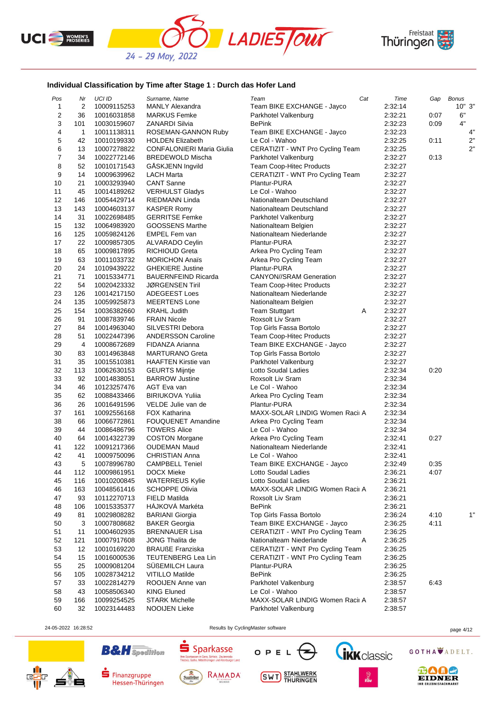





## **Individual Classification by Time after Stage 1 : Durch das Hofer Land**

| Pos            | Nr  | UCI ID      | Surname, Name                    | Team                             | Cat<br>Time  | Gap  | <b>Bonus</b> |
|----------------|-----|-------------|----------------------------------|----------------------------------|--------------|------|--------------|
| 1              | 2   | 10009115253 | <b>MANLY Alexandra</b>           | Team BIKE EXCHANGE - Jayco       | 2:32:14      |      | 10"3"        |
| 2              | 36  | 10016031858 | <b>MARKUS Femke</b>              | Parkhotel Valkenburg             | 2:32:21      | 0:07 | 6"           |
| 3              | 101 | 10030159607 | ZANARDI Silvia                   | <b>BePink</b>                    | 2:32:23      | 0:09 | 4"           |
| 4              | 1   | 10011138311 | ROSEMAN-GANNON Ruby              | Team BIKE EXCHANGE - Jayco       | 2:32:23      |      | 4"           |
| 5              | 42  | 10010199330 | <b>HOLDEN Elizabeth</b>          | Le Col - Wahoo                   | 2:32:25      | 0:11 | 2"           |
| 6              | 13  | 10007278822 | <b>CONFALONIERI Maria Giulia</b> | CERATIZIT - WNT Pro Cycling Team | 2:32:25      |      | 2"           |
| $\overline{7}$ | 34  | 10022772146 | <b>BREDEWOLD Mischa</b>          | Parkhotel Valkenburg             | 2:32:27      | 0:13 |              |
| 8              | 52  | 10010171543 | GASKJENN Ingvild                 | <b>Team Coop-Hitec Products</b>  | 2:32:27      |      |              |
| 9              | 14  | 10009639962 | <b>LACH Marta</b>                | CERATIZIT - WNT Pro Cycling Team | 2:32:27      |      |              |
| 10             | 21  | 10003293940 | <b>CANT Sanne</b>                | Plantur-PURA                     | 2:32:27      |      |              |
|                |     |             |                                  | Le Col - Wahoo                   |              |      |              |
| 11             | 45  | 10014189262 | <b>VERHULST Gladys</b>           |                                  | 2:32:27      |      |              |
| 12             | 146 | 10054429714 | <b>RIEDMANN Linda</b>            | Nationalteam Deutschland         | 2:32:27      |      |              |
| 13             | 143 | 10004603137 | <b>KASPER Romy</b>               | Nationalteam Deutschland         | 2:32:27      |      |              |
| 14             | 31  | 10022698485 | <b>GERRITSE Femke</b>            | Parkhotel Valkenburg             | 2:32:27      |      |              |
| 15             | 132 | 10064983920 | <b>GOOSSENS Marthe</b>           | Nationalteam Belgien             | 2:32:27      |      |              |
| 16             | 125 | 10059824126 | <b>EMPEL Fem van</b>             | Nationalteam Niederlande         | 2:32:27      |      |              |
| 17             | 22  | 10009857305 | <b>ALVARADO Ceylin</b>           | Plantur-PURA                     | 2:32:27      |      |              |
| 18             | 65  | 10009817895 | RICHIOUD Greta                   | Arkea Pro Cycling Team           | 2:32:27      |      |              |
| 19             | 63  | 10011033732 | <b>MORICHON Anaïs</b>            | Arkea Pro Cycling Team           | 2:32:27      |      |              |
| 20             | 24  | 10109439222 | <b>GHEKIERE Justine</b>          | Plantur-PURA                     | 2:32:27      |      |              |
| 21             | 71  | 10015334771 | <b>BAUERNFEIND Ricarda</b>       | <b>CANYON//SRAM Generation</b>   | 2:32:27      |      |              |
| 22             | 54  | 10020423332 | <b>JØRGENSEN Tiril</b>           | Team Coop-Hitec Products         | 2:32:27      |      |              |
| 23             | 126 | 10014217150 | <b>ADEGEEST Loes</b>             | Nationalteam Niederlande         | 2:32:27      |      |              |
| 24             | 135 | 10059925873 | <b>MEERTENS Lone</b>             | Nationalteam Belgien             | 2:32:27      |      |              |
| 25             | 154 | 10036382660 | <b>KRAHL Judith</b>              | <b>Team Stuttgart</b>            | Α<br>2:32:27 |      |              |
| 26             | 91  | 10087839746 | <b>FRAIN Nicole</b>              | Roxsolt Liv Sram                 | 2:32:27      |      |              |
| 27             | 84  | 10014963040 | SILVESTRI Debora                 | Top Girls Fassa Bortolo          | 2:32:27      |      |              |
| 28             | 51  | 10022447396 | <b>ANDERSSON Caroline</b>        | <b>Team Coop-Hitec Products</b>  | 2:32:27      |      |              |
| 29             | 4   | 10008672689 | FIDANZA Arianna                  | Team BIKE EXCHANGE - Jayco       | 2:32:27      |      |              |
| 30             | 83  | 10014963848 | <b>MARTURANO Greta</b>           | Top Girls Fassa Bortolo          | 2:32:27      |      |              |
| 31             | 35  | 10015510381 | HAAFTEN Kirstie van              | Parkhotel Valkenburg             | 2:32:27      |      |              |
|                |     |             |                                  |                                  |              |      |              |
| 32             | 113 | 10062630153 | <b>GEURTS Mijntje</b>            | Lotto Soudal Ladies              | 2:32:34      | 0:20 |              |
| 33             | 92  | 10014838051 | <b>BARROW Justine</b>            | Roxsolt Liv Sram                 | 2:32:34      |      |              |
| 34             | 46  | 10123257476 | AGT Eva van                      | Le Col - Wahoo                   | 2:32:34      |      |              |
| 35             | 62  | 10088433466 | <b>BIRIUKOVA Yulija</b>          | Arkea Pro Cycling Team           | 2:32:34      |      |              |
| 36             | 26  | 10016491596 | VELDE Julie van de               | Plantur-PURA                     | 2:32:34      |      |              |
| 37             | 161 | 10092556168 | <b>FOX Katharina</b>             | MAXX-SOLAR LINDIG Women Racii A  | 2:32:34      |      |              |
| 38             | 66  | 10066772861 | <b>FOUQUENET Amandine</b>        | Arkea Pro Cycling Team           | 2:32:34      |      |              |
| 39             | 44  | 10086486796 | <b>TOWERS Alice</b>              | Le Col - Wahoo                   | 2:32:34      |      |              |
| 40             | 64  | 10014322739 | <b>COSTON Morgane</b>            | Arkea Pro Cycling Team           | 2:32:41      | 0:27 |              |
| 41             | 122 | 10091217366 | <b>OUDEMAN Maud</b>              | Nationalteam Niederlande         | 2:32:41      |      |              |
| 42             | 41  | 10009750096 | <b>CHRISTIAN Anna</b>            | Le Col - Wahoo                   | 2:32:41      |      |              |
| 43             | 5   | 10078996780 | <b>CAMPBELL Teniel</b>           | Team BIKE EXCHANGE - Jayco       | 2:32:49      | 0:35 |              |
| 44             | 112 | 10009861951 | <b>DOCX Mieke</b>                | Lotto Soudal Ladies              | 2:36:21      | 4:07 |              |
| 45             | 116 | 10010200845 | <b>WATERREUS Kylie</b>           | Lotto Soudal Ladies              | 2:36:21      |      |              |
| 46             | 163 | 10048561416 | <b>SCHOPPE Olivia</b>            | MAXX-SOLAR LINDIG Women Racii A  | 2:36:21      |      |              |
| 47             | 93  | 10112270713 | <b>FIELD Matilda</b>             | Roxsolt Liv Sram                 | 2:36:21      |      |              |
| 48             | 106 | 10015335377 | HÁJKOVÁ Markéta                  | <b>BePink</b>                    | 2:36:21      |      |              |
| 49             | 81  | 10029808282 | <b>BARIANI</b> Giorgia           | Top Girls Fassa Bortolo          | 2:36:24      | 4:10 | 1"           |
| 50             | 3   | 10007808682 | <b>BAKER Georgia</b>             | Team BIKE EXCHANGE - Jayco       | 2:36:25      | 4:11 |              |
| 51             | 11  | 10004602935 | <b>BRENNAUER Lisa</b>            | CERATIZIT - WNT Pro Cycling Team | 2:36:25      |      |              |
| 52             | 121 | 10007917608 | JONG Thalita de                  | Nationalteam Niederlande         | Α<br>2:36:25 |      |              |
| 53             | 12  | 10010169220 | <b>BRAUßE Franziska</b>          | CERATIZIT - WNT Pro Cycling Team | 2:36:25      |      |              |
| 54             | 15  |             | TEUTENBERG Lea Lin               |                                  |              |      |              |
|                |     | 10016000536 |                                  | CERATIZIT - WNT Pro Cycling Team | 2:36:25      |      |              |
| 55             | 25  | 10009081204 | SÜßEMILCH Laura                  | Plantur-PURA                     | 2:36:25      |      |              |
| 56             | 105 | 10028734212 | <b>VITILLO Matilde</b>           | <b>BePink</b>                    | 2:36:25      |      |              |
| 57             | 33  | 10022814279 | ROOIJEN Anne van                 | Parkhotel Valkenburg             | 2:38:57      | 6:43 |              |
| 58             | 43  | 10058506340 | <b>KING Eluned</b>               | Le Col - Wahoo                   | 2:38:57      |      |              |
| 59             | 166 | 10099254525 | <b>STARK Michelle</b>            | MAXX-SOLAR LINDIG Women Racii A  | 2:38:57      |      |              |
| 60             | 32  | 10023144483 | <b>NOOIJEN Lieke</b>             | Parkhotel Valkenburg             | 2:38:57      |      |              |

24-05-2022 16:28:52 Results by CyclingMaster software page 4/12





**B&H** Spedition



 $S<sub>parkasse</sub>$ 

thre St

J d T K d SSC<br>Gera, Schleiz, Zeulenroda-<br>ttelthüringen und Altenburger Land







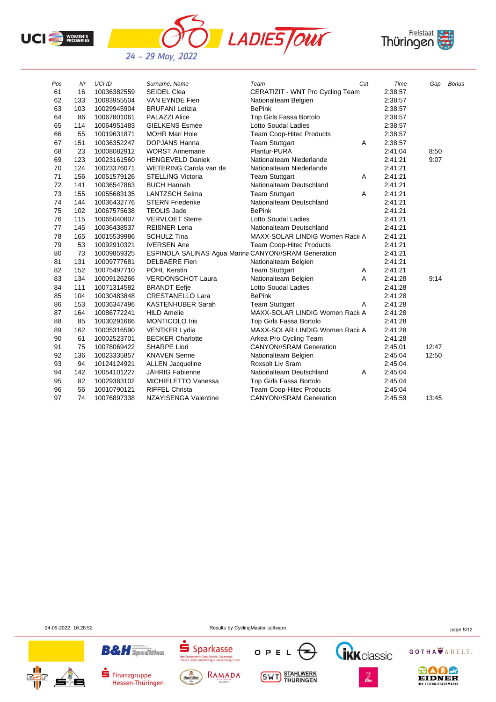





| Pos | Nr  | <b>UCI ID</b> | Surname, Name                                               | Team                             | Cat | Time    | Gap   | <b>Bonus</b> |
|-----|-----|---------------|-------------------------------------------------------------|----------------------------------|-----|---------|-------|--------------|
| 61  | 16  | 10036382559   | <b>SEIDEL Clea</b>                                          | CERATIZIT - WNT Pro Cycling Team |     | 2:38:57 |       |              |
| 62  | 133 | 10083955504   | VAN EYNDE Fien                                              | Nationalteam Belgien             |     | 2:38:57 |       |              |
| 63  | 103 | 10029945904   | <b>BRUFANI</b> Letizia                                      | <b>BePink</b>                    |     | 2:38:57 |       |              |
| 64  | 86  | 10067801061   | <b>PALAZZI Alice</b>                                        | Top Girls Fassa Bortolo          |     | 2:38:57 |       |              |
| 65  | 114 | 10064951483   | <b>GIELKENS Esmée</b>                                       | <b>Lotto Soudal Ladies</b>       |     | 2:38:57 |       |              |
| 66  | 55  | 10019631871   | <b>MOHR Mari Hole</b>                                       | <b>Team Coop-Hitec Products</b>  |     | 2:38:57 |       |              |
| 67  | 151 | 10036352247   | <b>DOPJANS Hanna</b>                                        | <b>Team Stuttgart</b>            | Α   | 2:38:57 |       |              |
| 68  | 23  | 10008082912   | <b>WORST Annemarie</b>                                      | Plantur-PURA                     |     | 2:41:04 | 8:50  |              |
| 69  | 123 | 10023161560   | <b>HENGEVELD Daniek</b>                                     | Nationalteam Niederlande         |     | 2:41:21 | 9:07  |              |
| 70  | 124 | 10023376071   | WETERING Carola van de                                      | Nationalteam Niederlande         |     | 2:41:21 |       |              |
| 71  | 156 | 10051579126   | <b>STELLING Victoria</b>                                    | <b>Team Stuttgart</b>            | Α   | 2:41:21 |       |              |
| 72  | 141 | 10036547863   | <b>BUCH Hannah</b>                                          | Nationalteam Deutschland         |     | 2:41:21 |       |              |
| 73  | 155 | 10055683135   | <b>LANTZSCH Selma</b>                                       | <b>Team Stuttgart</b>            | A   | 2:41:21 |       |              |
| 74  | 144 | 10036432776   | <b>STERN Friederike</b>                                     | Nationalteam Deutschland         |     | 2:41:21 |       |              |
| 75  | 102 | 10067575638   | <b>TEOLIS Jade</b>                                          | <b>BePink</b>                    |     | 2:41:21 |       |              |
| 76  | 115 | 10065040807   | <b>VERVLOET Sterre</b>                                      | <b>Lotto Soudal Ladies</b>       |     | 2:41:21 |       |              |
| 77  | 145 | 10036438537   | <b>REIßNER Lena</b>                                         | Nationalteam Deutschland         |     | 2:41:21 |       |              |
| 78  | 165 | 10015539986   | <b>SCHULZ Tina</b>                                          | MAXX-SOLAR LINDIG Women Racii A  |     | 2:41:21 |       |              |
| 79  | 53  | 10092910321   | <b>IVERSEN Ane</b>                                          | <b>Team Coop-Hitec Products</b>  |     | 2:41.21 |       |              |
| 80  | 73  | 10009859325   | <b>ESPINOLA SALINAS Agua Marina CANYON//SRAM Generation</b> |                                  |     | 2:41.21 |       |              |
| 81  | 131 | 10009777681   | <b>DELBAERE</b> Fien                                        | Nationalteam Belgien             |     | 2:41:21 |       |              |
| 82  | 152 | 10075497710   | PÖHL Kerstin                                                | <b>Team Stuttgart</b>            | Α   | 2:41:21 |       |              |
| 83  | 134 | 10009126266   | <b>VERDONSCHOT Laura</b>                                    | Nationalteam Belgien             | A   | 2:41:28 | 9:14  |              |
| 84  | 111 | 10071314582   | <b>BRANDT Eefje</b>                                         | Lotto Soudal Ladies              |     | 2:41:28 |       |              |
| 85  | 104 | 10030483848   | CRESTANELLO Lara                                            | <b>BePink</b>                    |     | 2:41:28 |       |              |
| 86  | 153 | 10036347496   | <b>KASTENHUBER Sarah</b>                                    | <b>Team Stuttgart</b>            | A   | 2:41:28 |       |              |
| 87  | 164 | 10086772241   | <b>HILD Amelie</b>                                          | MAXX-SOLAR LINDIG Women Racii A  |     | 2:41:28 |       |              |
| 88  | 85  | 10030291666   | MONTICOLO Iris                                              | Top Girls Fassa Bortolo          |     | 2:41:28 |       |              |
| 89  | 162 | 10005316590   | <b>VENTKER Lydia</b>                                        | MAXX-SOLAR LINDIG Women Racii A  |     | 2:41:28 |       |              |
| 90  | 61  | 10002523701   | <b>BECKER Charlotte</b>                                     | Arkea Pro Cycling Team           |     | 2:41:28 |       |              |
| 91  | 75  | 10078069422   | <b>SHARPE Liori</b>                                         | <b>CANYON//SRAM Generation</b>   |     | 2:45:01 | 12:47 |              |
| 92  | 136 | 10023335857   | <b>KNAVEN Senne</b>                                         | Nationalteam Belgien             |     | 2:45:04 | 12:50 |              |
| 93  | 94  | 10124124921   | <b>ALLEN Jacqueline</b>                                     | Roxsolt Liv Sram                 |     | 2:45:04 |       |              |
| 94  | 142 | 10054101227   | JÄHRIG Fabienne                                             | Nationalteam Deutschland         | Α   | 2:45:04 |       |              |
| 95  | 82  | 10029383102   | MICHIELETTO Vanessa                                         | Top Girls Fassa Bortolo          |     | 2:45:04 |       |              |
| 96  | 56  | 10010790121   | <b>RIFFEL Christa</b>                                       | <b>Team Coop-Hitec Products</b>  |     | 2:45:04 |       |              |
| 97  | 74  | 10076897338   | <b>NZAYISENGA Valentine</b>                                 | <b>CANYON//SRAM Generation</b>   |     | 2:45:59 | 13:45 |              |

24-05-2022 16:28:52 Results by CyclingMaster software page 5/12

![](_page_4_Picture_7.jpeg)

**B&H** Spedition  $\blacksquare$  Finanzgruppe

Hessen-Thüringen

![](_page_4_Picture_9.jpeg)

Sparkassen in Gera, Schleiz, Zeulenroda-

![](_page_4_Picture_10.jpeg)

**SWT** STAHLWERK

![](_page_4_Picture_11.jpeg)

![](_page_4_Picture_12.jpeg)

EIDNER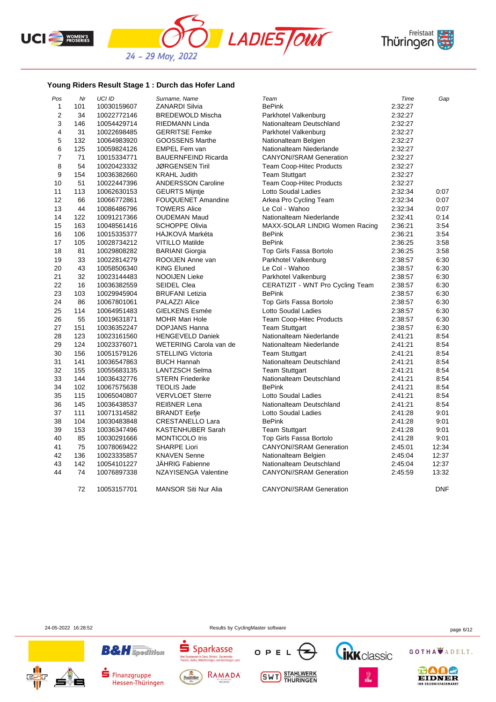![](_page_5_Picture_0.jpeg)

![](_page_5_Picture_1.jpeg)

![](_page_5_Picture_2.jpeg)

## **Young Riders Result Stage 1 : Durch das Hofer Land**

| Pos            | Nr  | UCI ID      | Surname, Name               | Team                             | Time    | Gap        |
|----------------|-----|-------------|-----------------------------|----------------------------------|---------|------------|
| $\mathbf{1}$   | 101 | 10030159607 | <b>ZANARDI Silvia</b>       | <b>BePink</b>                    | 2:32:27 |            |
| $\overline{2}$ | 34  | 10022772146 | <b>BREDEWOLD Mischa</b>     | Parkhotel Valkenburg             | 2:32:27 |            |
| 3              | 146 | 10054429714 | RIEDMANN Linda              | Nationalteam Deutschland         | 2:32:27 |            |
| 4              | 31  | 10022698485 | <b>GERRITSE Femke</b>       | Parkhotel Valkenburg             | 2:32:27 |            |
| 5              | 132 | 10064983920 | <b>GOOSSENS Marthe</b>      | Nationalteam Belgien             | 2:32:27 |            |
| 6              | 125 | 10059824126 | <b>EMPEL Fem van</b>        | Nationalteam Niederlande         | 2:32:27 |            |
| 7              | 71  | 10015334771 | <b>BAUERNFEIND Ricarda</b>  | <b>CANYON//SRAM Generation</b>   | 2:32:27 |            |
| 8              | 54  | 10020423332 | <b>JØRGENSEN Tiril</b>      | <b>Team Coop-Hitec Products</b>  | 2:32:27 |            |
| 9              | 154 | 10036382660 | <b>KRAHL Judith</b>         | <b>Team Stuttgart</b>            | 2:32:27 |            |
| 10             | 51  | 10022447396 | <b>ANDERSSON Caroline</b>   | <b>Team Coop-Hitec Products</b>  | 2:32:27 |            |
| 11             | 113 | 10062630153 | <b>GEURTS Mijntje</b>       | Lotto Soudal Ladies              | 2:32:34 | 0:07       |
| 12             | 66  | 10066772861 | <b>FOUQUENET Amandine</b>   | Arkea Pro Cycling Team           | 2:32:34 | 0:07       |
| 13             | 44  | 10086486796 | <b>TOWERS Alice</b>         | Le Col - Wahoo                   | 2:32:34 | 0:07       |
| 14             | 122 | 10091217366 | <b>OUDEMAN Maud</b>         | Nationalteam Niederlande         | 2:32:41 | 0:14       |
| 15             | 163 | 10048561416 | <b>SCHOPPE Olivia</b>       | MAXX-SOLAR LINDIG Women Racing   | 2:36:21 | 3:54       |
| 16             | 106 | 10015335377 | HÁJKOVÁ Markéta             | <b>BePink</b>                    | 2:36:21 | 3:54       |
| 17             | 105 | 10028734212 | <b>VITILLO Matilde</b>      | <b>BePink</b>                    | 2.36.25 | 3:58       |
| 18             | 81  | 10029808282 | <b>BARIANI Giorgia</b>      | Top Girls Fassa Bortolo          | 2:36:25 | 3:58       |
| 19             | 33  | 10022814279 | ROOIJEN Anne van            | Parkhotel Valkenburg             | 2:38:57 | 6:30       |
| 20             | 43  | 10058506340 | <b>KING Eluned</b>          | Le Col - Wahoo                   | 2:38:57 | 6:30       |
| 21             | 32  | 10023144483 | <b>NOOIJEN Lieke</b>        | Parkhotel Valkenburg             | 2:38:57 | 6:30       |
| 22             | 16  | 10036382559 | SEIDEL Clea                 | CERATIZIT - WNT Pro Cycling Team | 2:38:57 | 6:30       |
| 23             | 103 | 10029945904 | <b>BRUFANI Letizia</b>      | <b>BePink</b>                    | 2:38:57 | 6:30       |
| 24             | 86  | 10067801061 | <b>PALAZZI Alice</b>        | Top Girls Fassa Bortolo          | 2:38:57 | 6:30       |
| 25             | 114 | 10064951483 | <b>GIELKENS Esmée</b>       | Lotto Soudal Ladies              | 2:38:57 | 6:30       |
| 26             | 55  | 10019631871 | <b>MOHR Mari Hole</b>       | Team Coop-Hitec Products         | 2:38:57 | 6:30       |
| 27             | 151 | 10036352247 | DOPJANS Hanna               | <b>Team Stuttgart</b>            | 2:38:57 | 6:30       |
| 28             | 123 | 10023161560 | <b>HENGEVELD Daniek</b>     | Nationalteam Niederlande         | 2:41:21 | 8:54       |
| 29             | 124 | 10023376071 | WETERING Carola van de      | Nationalteam Niederlande         | 2:41:21 | 8:54       |
| 30             | 156 | 10051579126 | <b>STELLING Victoria</b>    | <b>Team Stuttgart</b>            | 2:41:21 | 8:54       |
| 31             | 141 | 10036547863 | <b>BUCH Hannah</b>          | Nationalteam Deutschland         | 2:41:21 | 8:54       |
| 32             | 155 | 10055683135 | <b>LANTZSCH Selma</b>       | <b>Team Stuttgart</b>            | 2:41:21 | 8:54       |
| 33             | 144 | 10036432776 | <b>STERN Friederike</b>     | Nationalteam Deutschland         | 2:41:21 | 8:54       |
| 34             | 102 | 10067575638 | <b>TEOLIS Jade</b>          | <b>BePink</b>                    | 2:41:21 | 8:54       |
| 35             | 115 | 10065040807 | <b>VERVLOET Sterre</b>      | Lotto Soudal Ladies              | 2:41:21 | 8:54       |
| 36             | 145 | 10036438537 | <b>REIBNER Lena</b>         | Nationalteam Deutschland         | 2:41:21 | 8:54       |
| 37             | 111 | 10071314582 | <b>BRANDT Eefje</b>         | Lotto Soudal Ladies              | 2:41:28 | 9:01       |
| 38             | 104 | 10030483848 | <b>CRESTANELLO Lara</b>     | <b>BePink</b>                    | 2:41:28 | 9:01       |
| 39             | 153 | 10036347496 | <b>KASTENHUBER Sarah</b>    | <b>Team Stuttgart</b>            | 2:41:28 | 9:01       |
| 40             | 85  | 10030291666 | <b>MONTICOLO Iris</b>       | Top Girls Fassa Bortolo          | 2:41:28 | 9:01       |
| 41             | 75  | 10078069422 | <b>SHARPE Liori</b>         | <b>CANYON//SRAM Generation</b>   | 2:45:01 | 12:34      |
| 42             | 136 | 10023335857 | <b>KNAVEN Senne</b>         | Nationalteam Belgien             | 2:45:04 | 12:37      |
| 43             | 142 | 10054101227 | JÄHRIG Fabienne             | Nationalteam Deutschland         | 2:45:04 | 12:37      |
| 44             | 74  | 10076897338 | <b>NZAYISENGA Valentine</b> | <b>CANYON//SRAM Generation</b>   | 2:45:59 | 13:32      |
|                |     |             |                             |                                  |         |            |
|                | 72  | 10053157701 | <b>MANSOR Siti Nur Alia</b> | <b>CANYON//SRAM Generation</b>   |         | <b>DNF</b> |

24-05-2022 16:28:52 Results by CyclingMaster software page 6/12

![](_page_5_Picture_7.jpeg)

![](_page_5_Picture_8.jpeg)

![](_page_5_Picture_9.jpeg)

Hessen-Thüringen

![](_page_5_Picture_10.jpeg)

![](_page_5_Picture_11.jpeg)

**SWT** STAHLWERK

![](_page_5_Picture_12.jpeg)

![](_page_5_Picture_13.jpeg)

![](_page_5_Picture_14.jpeg)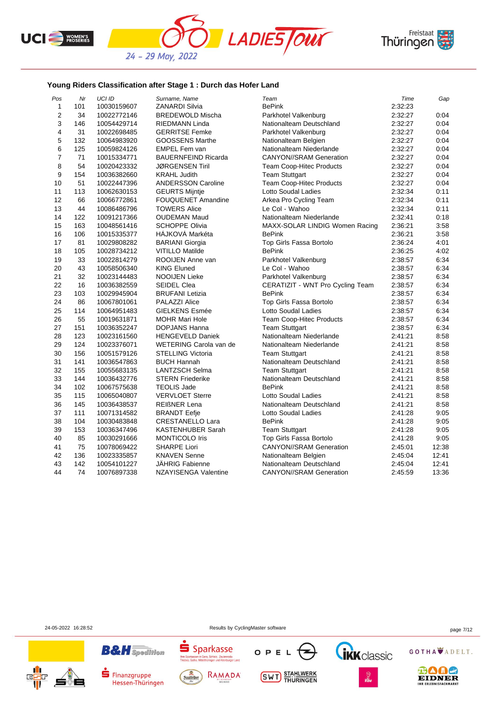![](_page_6_Picture_0.jpeg)

![](_page_6_Picture_1.jpeg)

![](_page_6_Picture_2.jpeg)

## **Young Riders Classification after Stage 1 : Durch das Hofer Land**

| <b>BePink</b><br>1<br>101<br>10030159607<br><b>ZANARDI Silvia</b><br>2:32:23<br>$\overline{2}$<br>34<br>2:32:27<br>10022772146<br><b>BREDEWOLD Mischa</b><br>Parkhotel Valkenburg<br>0:04<br>3<br>0:04<br>146<br>Nationalteam Deutschland<br>2:32:27<br>10054429714<br>RIEDMANN Linda<br>4<br>31<br>0:04<br>10022698485<br><b>GERRITSE Femke</b><br>Parkhotel Valkenburg<br>2:32:27<br>5<br>132<br><b>GOOSSENS Marthe</b><br>0:04<br>10064983920<br>Nationalteam Belgien<br>2:32:27<br>6<br>0:04<br>125<br><b>EMPEL Fem van</b><br>Nationalteam Niederlande<br>2:32:27<br>10059824126<br>$\overline{7}$<br>0:04<br>71<br><b>CANYON//SRAM Generation</b><br><b>BAUERNFEIND Ricarda</b><br>2:32:27<br>10015334771<br>8<br>54<br>0:04<br>10020423332<br><b>JØRGENSEN Tiril</b><br><b>Team Coop-Hitec Products</b><br>2:32:27<br>9<br>0:04<br>154<br><b>KRAHL Judith</b><br>2:32:27<br>10036382660<br><b>Team Stuttgart</b><br>51<br>0:04<br>10<br><b>ANDERSSON Caroline</b><br>Team Coop-Hitec Products<br>10022447396<br>2:32:27<br>11<br>113<br>Lotto Soudal Ladies<br>0:11<br>10062630153<br><b>GEURTS Mijntje</b><br>2:32:34<br>12<br>0:11<br>66<br>Arkea Pro Cycling Team<br>2:32:34<br>10066772861<br><b>FOUQUENET Amandine</b><br>13<br>44<br>Le Col - Wahoo<br>0:11<br>10086486796<br><b>TOWERS Alice</b><br>2:32:34<br>14<br>122<br>2:32:41<br>0:18<br>10091217366<br><b>OUDEMAN Maud</b><br>Nationalteam Niederlande<br>15<br>3:58<br>163<br><b>SCHOPPE Olivia</b><br>MAXX-SOLAR LINDIG Women Racing<br>2:36:21<br>10048561416<br>16<br>106<br>HÁJKOVÁ Markéta<br><b>BePink</b><br>3:58<br>10015335377<br>2:36:21<br>17<br>4:01<br>81<br><b>BARIANI</b> Giorgia<br>Top Girls Fassa Bortolo<br>2:36:24<br>10029808282<br>18<br><b>BePink</b><br>4:02<br>105<br><b>VITILLO Matilde</b><br>2:36:25<br>10028734212<br>6:34<br>19<br>33<br>ROOIJEN Anne van<br>10022814279<br>Parkhotel Valkenburg<br>2:38:57<br>20<br>43<br>6:34<br>10058506340<br><b>KING Eluned</b><br>Le Col - Wahoo<br>2:38:57<br>21<br>32<br>6:34<br><b>NOOIJEN Lieke</b><br>2:38:57<br>10023144483<br>Parkhotel Valkenburg<br>22<br>16<br>SEIDEL Clea<br>CERATIZIT - WNT Pro Cycling Team<br>6:34<br>10036382559<br>2:38:57<br>23<br>103<br>6:34<br>10029945904<br><b>BRUFANI</b> Letizia<br><b>BePink</b><br>2:38:57<br>24<br>PALAZZI Alice<br>6:34<br>86<br>Top Girls Fassa Bortolo<br>2:38:57<br>10067801061<br>25<br>114<br><b>GIELKENS Esmée</b><br>Lotto Soudal Ladies<br>6:34<br>10064951483<br>2:38:57<br>26<br>55<br>6:34<br><b>MOHR Mari Hole</b><br><b>Team Coop-Hitec Products</b><br>10019631871<br>2:38:57<br>27<br>6:34<br>151<br><b>DOPJANS Hanna</b><br><b>Team Stuttgart</b><br>2:38:57<br>10036352247<br>28<br>123<br><b>HENGEVELD Daniek</b><br>Nationalteam Niederlande<br>8:58<br>10023161560<br>2:41:21<br>29<br>124<br>8:58<br>WETERING Carola van de<br>Nationalteam Niederlande<br>2:41:21<br>10023376071<br>8:58<br>30<br>156<br><b>STELLING Victoria</b><br><b>Team Stuttgart</b><br>2:41:21<br>10051579126<br>31<br>Nationalteam Deutschland<br>8:58<br>141<br>10036547863<br><b>BUCH Hannah</b><br>2:41:21<br>32<br>155<br>8:58<br>10055683135<br><b>LANTZSCH Selma</b><br><b>Team Stuttgart</b><br>2:41:21<br>33<br>144<br>10036432776<br><b>STERN Friederike</b><br>Nationalteam Deutschland<br>8:58<br>2:41:21<br>34<br>102<br><b>TEOLIS Jade</b><br><b>BePink</b><br>8:58<br>10067575638<br>2:41:21<br>35<br>115<br>Lotto Soudal Ladies<br>8:58<br><b>VERVLOET Sterre</b><br>2:41:21<br>10065040807<br>36<br>8:58<br>145<br><b>REIßNER Lena</b><br>Nationalteam Deutschland<br>10036438537<br>2:41:21<br>37<br>111<br>Lotto Soudal Ladies<br>9:05<br>10071314582<br><b>BRANDT Eefje</b><br>2:41:28<br>38<br>104<br><b>BePink</b><br>9:05<br><b>CRESTANELLO Lara</b><br>10030483848<br>2:41:28<br>39<br>153<br><b>KASTENHUBER Sarah</b><br>9:05<br>10036347496<br><b>Team Stuttgart</b><br>2:41:28<br>40<br>85<br><b>MONTICOLO Iris</b><br>9:05<br>10030291666<br>Top Girls Fassa Bortolo<br>2:41:28<br>41<br>75<br><b>SHARPE Liori</b><br>12:38<br>10078069422<br><b>CANYON//SRAM Generation</b><br>2:45:01<br>42<br>136<br><b>KNAVEN Senne</b><br>Nationalteam Belgien<br>12:41<br>10023335857<br>2:45:04<br>43<br>142<br><b>JÄHRIG Fabienne</b><br>Nationalteam Deutschland<br>12:41<br>10054101227<br>2:45:04 | 44<br>74<br>10076897338<br>NZAYISENGA Valentine<br><b>CANYON//SRAM Generation</b><br>2:45:59 | Pos | Nr | UCI ID | Surname, Name | Team | Time | Gap |
|-----------------------------------------------------------------------------------------------------------------------------------------------------------------------------------------------------------------------------------------------------------------------------------------------------------------------------------------------------------------------------------------------------------------------------------------------------------------------------------------------------------------------------------------------------------------------------------------------------------------------------------------------------------------------------------------------------------------------------------------------------------------------------------------------------------------------------------------------------------------------------------------------------------------------------------------------------------------------------------------------------------------------------------------------------------------------------------------------------------------------------------------------------------------------------------------------------------------------------------------------------------------------------------------------------------------------------------------------------------------------------------------------------------------------------------------------------------------------------------------------------------------------------------------------------------------------------------------------------------------------------------------------------------------------------------------------------------------------------------------------------------------------------------------------------------------------------------------------------------------------------------------------------------------------------------------------------------------------------------------------------------------------------------------------------------------------------------------------------------------------------------------------------------------------------------------------------------------------------------------------------------------------------------------------------------------------------------------------------------------------------------------------------------------------------------------------------------------------------------------------------------------------------------------------------------------------------------------------------------------------------------------------------------------------------------------------------------------------------------------------------------------------------------------------------------------------------------------------------------------------------------------------------------------------------------------------------------------------------------------------------------------------------------------------------------------------------------------------------------------------------------------------------------------------------------------------------------------------------------------------------------------------------------------------------------------------------------------------------------------------------------------------------------------------------------------------------------------------------------------------------------------------------------------------------------------------------------------------------------------------------------------------------------------------------------------------------------------------------------------------------------------------------------------------------------------------------------------------------------------------------------------------------------------------------------------------------------------------------------------------------------------------------------------------------------------------------------------------------------------------------------------------------------------------------------------------------------------------------------------------------------------------------------------------------------------------------|----------------------------------------------------------------------------------------------|-----|----|--------|---------------|------|------|-----|
|                                                                                                                                                                                                                                                                                                                                                                                                                                                                                                                                                                                                                                                                                                                                                                                                                                                                                                                                                                                                                                                                                                                                                                                                                                                                                                                                                                                                                                                                                                                                                                                                                                                                                                                                                                                                                                                                                                                                                                                                                                                                                                                                                                                                                                                                                                                                                                                                                                                                                                                                                                                                                                                                                                                                                                                                                                                                                                                                                                                                                                                                                                                                                                                                                                                                                                                                                                                                                                                                                                                                                                                                                                                                                                                                                                                                                                                                                                                                                                                                                                                                                                                                                                                                                                                                                                                             |                                                                                              |     |    |        |               |      |      |     |
|                                                                                                                                                                                                                                                                                                                                                                                                                                                                                                                                                                                                                                                                                                                                                                                                                                                                                                                                                                                                                                                                                                                                                                                                                                                                                                                                                                                                                                                                                                                                                                                                                                                                                                                                                                                                                                                                                                                                                                                                                                                                                                                                                                                                                                                                                                                                                                                                                                                                                                                                                                                                                                                                                                                                                                                                                                                                                                                                                                                                                                                                                                                                                                                                                                                                                                                                                                                                                                                                                                                                                                                                                                                                                                                                                                                                                                                                                                                                                                                                                                                                                                                                                                                                                                                                                                                             |                                                                                              |     |    |        |               |      |      |     |
|                                                                                                                                                                                                                                                                                                                                                                                                                                                                                                                                                                                                                                                                                                                                                                                                                                                                                                                                                                                                                                                                                                                                                                                                                                                                                                                                                                                                                                                                                                                                                                                                                                                                                                                                                                                                                                                                                                                                                                                                                                                                                                                                                                                                                                                                                                                                                                                                                                                                                                                                                                                                                                                                                                                                                                                                                                                                                                                                                                                                                                                                                                                                                                                                                                                                                                                                                                                                                                                                                                                                                                                                                                                                                                                                                                                                                                                                                                                                                                                                                                                                                                                                                                                                                                                                                                                             |                                                                                              |     |    |        |               |      |      |     |
|                                                                                                                                                                                                                                                                                                                                                                                                                                                                                                                                                                                                                                                                                                                                                                                                                                                                                                                                                                                                                                                                                                                                                                                                                                                                                                                                                                                                                                                                                                                                                                                                                                                                                                                                                                                                                                                                                                                                                                                                                                                                                                                                                                                                                                                                                                                                                                                                                                                                                                                                                                                                                                                                                                                                                                                                                                                                                                                                                                                                                                                                                                                                                                                                                                                                                                                                                                                                                                                                                                                                                                                                                                                                                                                                                                                                                                                                                                                                                                                                                                                                                                                                                                                                                                                                                                                             |                                                                                              |     |    |        |               |      |      |     |
|                                                                                                                                                                                                                                                                                                                                                                                                                                                                                                                                                                                                                                                                                                                                                                                                                                                                                                                                                                                                                                                                                                                                                                                                                                                                                                                                                                                                                                                                                                                                                                                                                                                                                                                                                                                                                                                                                                                                                                                                                                                                                                                                                                                                                                                                                                                                                                                                                                                                                                                                                                                                                                                                                                                                                                                                                                                                                                                                                                                                                                                                                                                                                                                                                                                                                                                                                                                                                                                                                                                                                                                                                                                                                                                                                                                                                                                                                                                                                                                                                                                                                                                                                                                                                                                                                                                             |                                                                                              |     |    |        |               |      |      |     |
|                                                                                                                                                                                                                                                                                                                                                                                                                                                                                                                                                                                                                                                                                                                                                                                                                                                                                                                                                                                                                                                                                                                                                                                                                                                                                                                                                                                                                                                                                                                                                                                                                                                                                                                                                                                                                                                                                                                                                                                                                                                                                                                                                                                                                                                                                                                                                                                                                                                                                                                                                                                                                                                                                                                                                                                                                                                                                                                                                                                                                                                                                                                                                                                                                                                                                                                                                                                                                                                                                                                                                                                                                                                                                                                                                                                                                                                                                                                                                                                                                                                                                                                                                                                                                                                                                                                             |                                                                                              |     |    |        |               |      |      |     |
|                                                                                                                                                                                                                                                                                                                                                                                                                                                                                                                                                                                                                                                                                                                                                                                                                                                                                                                                                                                                                                                                                                                                                                                                                                                                                                                                                                                                                                                                                                                                                                                                                                                                                                                                                                                                                                                                                                                                                                                                                                                                                                                                                                                                                                                                                                                                                                                                                                                                                                                                                                                                                                                                                                                                                                                                                                                                                                                                                                                                                                                                                                                                                                                                                                                                                                                                                                                                                                                                                                                                                                                                                                                                                                                                                                                                                                                                                                                                                                                                                                                                                                                                                                                                                                                                                                                             |                                                                                              |     |    |        |               |      |      |     |
|                                                                                                                                                                                                                                                                                                                                                                                                                                                                                                                                                                                                                                                                                                                                                                                                                                                                                                                                                                                                                                                                                                                                                                                                                                                                                                                                                                                                                                                                                                                                                                                                                                                                                                                                                                                                                                                                                                                                                                                                                                                                                                                                                                                                                                                                                                                                                                                                                                                                                                                                                                                                                                                                                                                                                                                                                                                                                                                                                                                                                                                                                                                                                                                                                                                                                                                                                                                                                                                                                                                                                                                                                                                                                                                                                                                                                                                                                                                                                                                                                                                                                                                                                                                                                                                                                                                             |                                                                                              |     |    |        |               |      |      |     |
|                                                                                                                                                                                                                                                                                                                                                                                                                                                                                                                                                                                                                                                                                                                                                                                                                                                                                                                                                                                                                                                                                                                                                                                                                                                                                                                                                                                                                                                                                                                                                                                                                                                                                                                                                                                                                                                                                                                                                                                                                                                                                                                                                                                                                                                                                                                                                                                                                                                                                                                                                                                                                                                                                                                                                                                                                                                                                                                                                                                                                                                                                                                                                                                                                                                                                                                                                                                                                                                                                                                                                                                                                                                                                                                                                                                                                                                                                                                                                                                                                                                                                                                                                                                                                                                                                                                             |                                                                                              |     |    |        |               |      |      |     |
|                                                                                                                                                                                                                                                                                                                                                                                                                                                                                                                                                                                                                                                                                                                                                                                                                                                                                                                                                                                                                                                                                                                                                                                                                                                                                                                                                                                                                                                                                                                                                                                                                                                                                                                                                                                                                                                                                                                                                                                                                                                                                                                                                                                                                                                                                                                                                                                                                                                                                                                                                                                                                                                                                                                                                                                                                                                                                                                                                                                                                                                                                                                                                                                                                                                                                                                                                                                                                                                                                                                                                                                                                                                                                                                                                                                                                                                                                                                                                                                                                                                                                                                                                                                                                                                                                                                             |                                                                                              |     |    |        |               |      |      |     |
|                                                                                                                                                                                                                                                                                                                                                                                                                                                                                                                                                                                                                                                                                                                                                                                                                                                                                                                                                                                                                                                                                                                                                                                                                                                                                                                                                                                                                                                                                                                                                                                                                                                                                                                                                                                                                                                                                                                                                                                                                                                                                                                                                                                                                                                                                                                                                                                                                                                                                                                                                                                                                                                                                                                                                                                                                                                                                                                                                                                                                                                                                                                                                                                                                                                                                                                                                                                                                                                                                                                                                                                                                                                                                                                                                                                                                                                                                                                                                                                                                                                                                                                                                                                                                                                                                                                             |                                                                                              |     |    |        |               |      |      |     |
|                                                                                                                                                                                                                                                                                                                                                                                                                                                                                                                                                                                                                                                                                                                                                                                                                                                                                                                                                                                                                                                                                                                                                                                                                                                                                                                                                                                                                                                                                                                                                                                                                                                                                                                                                                                                                                                                                                                                                                                                                                                                                                                                                                                                                                                                                                                                                                                                                                                                                                                                                                                                                                                                                                                                                                                                                                                                                                                                                                                                                                                                                                                                                                                                                                                                                                                                                                                                                                                                                                                                                                                                                                                                                                                                                                                                                                                                                                                                                                                                                                                                                                                                                                                                                                                                                                                             |                                                                                              |     |    |        |               |      |      |     |
|                                                                                                                                                                                                                                                                                                                                                                                                                                                                                                                                                                                                                                                                                                                                                                                                                                                                                                                                                                                                                                                                                                                                                                                                                                                                                                                                                                                                                                                                                                                                                                                                                                                                                                                                                                                                                                                                                                                                                                                                                                                                                                                                                                                                                                                                                                                                                                                                                                                                                                                                                                                                                                                                                                                                                                                                                                                                                                                                                                                                                                                                                                                                                                                                                                                                                                                                                                                                                                                                                                                                                                                                                                                                                                                                                                                                                                                                                                                                                                                                                                                                                                                                                                                                                                                                                                                             |                                                                                              |     |    |        |               |      |      |     |
|                                                                                                                                                                                                                                                                                                                                                                                                                                                                                                                                                                                                                                                                                                                                                                                                                                                                                                                                                                                                                                                                                                                                                                                                                                                                                                                                                                                                                                                                                                                                                                                                                                                                                                                                                                                                                                                                                                                                                                                                                                                                                                                                                                                                                                                                                                                                                                                                                                                                                                                                                                                                                                                                                                                                                                                                                                                                                                                                                                                                                                                                                                                                                                                                                                                                                                                                                                                                                                                                                                                                                                                                                                                                                                                                                                                                                                                                                                                                                                                                                                                                                                                                                                                                                                                                                                                             |                                                                                              |     |    |        |               |      |      |     |
|                                                                                                                                                                                                                                                                                                                                                                                                                                                                                                                                                                                                                                                                                                                                                                                                                                                                                                                                                                                                                                                                                                                                                                                                                                                                                                                                                                                                                                                                                                                                                                                                                                                                                                                                                                                                                                                                                                                                                                                                                                                                                                                                                                                                                                                                                                                                                                                                                                                                                                                                                                                                                                                                                                                                                                                                                                                                                                                                                                                                                                                                                                                                                                                                                                                                                                                                                                                                                                                                                                                                                                                                                                                                                                                                                                                                                                                                                                                                                                                                                                                                                                                                                                                                                                                                                                                             |                                                                                              |     |    |        |               |      |      |     |
|                                                                                                                                                                                                                                                                                                                                                                                                                                                                                                                                                                                                                                                                                                                                                                                                                                                                                                                                                                                                                                                                                                                                                                                                                                                                                                                                                                                                                                                                                                                                                                                                                                                                                                                                                                                                                                                                                                                                                                                                                                                                                                                                                                                                                                                                                                                                                                                                                                                                                                                                                                                                                                                                                                                                                                                                                                                                                                                                                                                                                                                                                                                                                                                                                                                                                                                                                                                                                                                                                                                                                                                                                                                                                                                                                                                                                                                                                                                                                                                                                                                                                                                                                                                                                                                                                                                             |                                                                                              |     |    |        |               |      |      |     |
|                                                                                                                                                                                                                                                                                                                                                                                                                                                                                                                                                                                                                                                                                                                                                                                                                                                                                                                                                                                                                                                                                                                                                                                                                                                                                                                                                                                                                                                                                                                                                                                                                                                                                                                                                                                                                                                                                                                                                                                                                                                                                                                                                                                                                                                                                                                                                                                                                                                                                                                                                                                                                                                                                                                                                                                                                                                                                                                                                                                                                                                                                                                                                                                                                                                                                                                                                                                                                                                                                                                                                                                                                                                                                                                                                                                                                                                                                                                                                                                                                                                                                                                                                                                                                                                                                                                             |                                                                                              |     |    |        |               |      |      |     |
|                                                                                                                                                                                                                                                                                                                                                                                                                                                                                                                                                                                                                                                                                                                                                                                                                                                                                                                                                                                                                                                                                                                                                                                                                                                                                                                                                                                                                                                                                                                                                                                                                                                                                                                                                                                                                                                                                                                                                                                                                                                                                                                                                                                                                                                                                                                                                                                                                                                                                                                                                                                                                                                                                                                                                                                                                                                                                                                                                                                                                                                                                                                                                                                                                                                                                                                                                                                                                                                                                                                                                                                                                                                                                                                                                                                                                                                                                                                                                                                                                                                                                                                                                                                                                                                                                                                             |                                                                                              |     |    |        |               |      |      |     |
|                                                                                                                                                                                                                                                                                                                                                                                                                                                                                                                                                                                                                                                                                                                                                                                                                                                                                                                                                                                                                                                                                                                                                                                                                                                                                                                                                                                                                                                                                                                                                                                                                                                                                                                                                                                                                                                                                                                                                                                                                                                                                                                                                                                                                                                                                                                                                                                                                                                                                                                                                                                                                                                                                                                                                                                                                                                                                                                                                                                                                                                                                                                                                                                                                                                                                                                                                                                                                                                                                                                                                                                                                                                                                                                                                                                                                                                                                                                                                                                                                                                                                                                                                                                                                                                                                                                             |                                                                                              |     |    |        |               |      |      |     |
|                                                                                                                                                                                                                                                                                                                                                                                                                                                                                                                                                                                                                                                                                                                                                                                                                                                                                                                                                                                                                                                                                                                                                                                                                                                                                                                                                                                                                                                                                                                                                                                                                                                                                                                                                                                                                                                                                                                                                                                                                                                                                                                                                                                                                                                                                                                                                                                                                                                                                                                                                                                                                                                                                                                                                                                                                                                                                                                                                                                                                                                                                                                                                                                                                                                                                                                                                                                                                                                                                                                                                                                                                                                                                                                                                                                                                                                                                                                                                                                                                                                                                                                                                                                                                                                                                                                             |                                                                                              |     |    |        |               |      |      |     |
|                                                                                                                                                                                                                                                                                                                                                                                                                                                                                                                                                                                                                                                                                                                                                                                                                                                                                                                                                                                                                                                                                                                                                                                                                                                                                                                                                                                                                                                                                                                                                                                                                                                                                                                                                                                                                                                                                                                                                                                                                                                                                                                                                                                                                                                                                                                                                                                                                                                                                                                                                                                                                                                                                                                                                                                                                                                                                                                                                                                                                                                                                                                                                                                                                                                                                                                                                                                                                                                                                                                                                                                                                                                                                                                                                                                                                                                                                                                                                                                                                                                                                                                                                                                                                                                                                                                             |                                                                                              |     |    |        |               |      |      |     |
|                                                                                                                                                                                                                                                                                                                                                                                                                                                                                                                                                                                                                                                                                                                                                                                                                                                                                                                                                                                                                                                                                                                                                                                                                                                                                                                                                                                                                                                                                                                                                                                                                                                                                                                                                                                                                                                                                                                                                                                                                                                                                                                                                                                                                                                                                                                                                                                                                                                                                                                                                                                                                                                                                                                                                                                                                                                                                                                                                                                                                                                                                                                                                                                                                                                                                                                                                                                                                                                                                                                                                                                                                                                                                                                                                                                                                                                                                                                                                                                                                                                                                                                                                                                                                                                                                                                             |                                                                                              |     |    |        |               |      |      |     |
|                                                                                                                                                                                                                                                                                                                                                                                                                                                                                                                                                                                                                                                                                                                                                                                                                                                                                                                                                                                                                                                                                                                                                                                                                                                                                                                                                                                                                                                                                                                                                                                                                                                                                                                                                                                                                                                                                                                                                                                                                                                                                                                                                                                                                                                                                                                                                                                                                                                                                                                                                                                                                                                                                                                                                                                                                                                                                                                                                                                                                                                                                                                                                                                                                                                                                                                                                                                                                                                                                                                                                                                                                                                                                                                                                                                                                                                                                                                                                                                                                                                                                                                                                                                                                                                                                                                             |                                                                                              |     |    |        |               |      |      |     |
|                                                                                                                                                                                                                                                                                                                                                                                                                                                                                                                                                                                                                                                                                                                                                                                                                                                                                                                                                                                                                                                                                                                                                                                                                                                                                                                                                                                                                                                                                                                                                                                                                                                                                                                                                                                                                                                                                                                                                                                                                                                                                                                                                                                                                                                                                                                                                                                                                                                                                                                                                                                                                                                                                                                                                                                                                                                                                                                                                                                                                                                                                                                                                                                                                                                                                                                                                                                                                                                                                                                                                                                                                                                                                                                                                                                                                                                                                                                                                                                                                                                                                                                                                                                                                                                                                                                             |                                                                                              |     |    |        |               |      |      |     |
|                                                                                                                                                                                                                                                                                                                                                                                                                                                                                                                                                                                                                                                                                                                                                                                                                                                                                                                                                                                                                                                                                                                                                                                                                                                                                                                                                                                                                                                                                                                                                                                                                                                                                                                                                                                                                                                                                                                                                                                                                                                                                                                                                                                                                                                                                                                                                                                                                                                                                                                                                                                                                                                                                                                                                                                                                                                                                                                                                                                                                                                                                                                                                                                                                                                                                                                                                                                                                                                                                                                                                                                                                                                                                                                                                                                                                                                                                                                                                                                                                                                                                                                                                                                                                                                                                                                             |                                                                                              |     |    |        |               |      |      |     |
|                                                                                                                                                                                                                                                                                                                                                                                                                                                                                                                                                                                                                                                                                                                                                                                                                                                                                                                                                                                                                                                                                                                                                                                                                                                                                                                                                                                                                                                                                                                                                                                                                                                                                                                                                                                                                                                                                                                                                                                                                                                                                                                                                                                                                                                                                                                                                                                                                                                                                                                                                                                                                                                                                                                                                                                                                                                                                                                                                                                                                                                                                                                                                                                                                                                                                                                                                                                                                                                                                                                                                                                                                                                                                                                                                                                                                                                                                                                                                                                                                                                                                                                                                                                                                                                                                                                             |                                                                                              |     |    |        |               |      |      |     |
|                                                                                                                                                                                                                                                                                                                                                                                                                                                                                                                                                                                                                                                                                                                                                                                                                                                                                                                                                                                                                                                                                                                                                                                                                                                                                                                                                                                                                                                                                                                                                                                                                                                                                                                                                                                                                                                                                                                                                                                                                                                                                                                                                                                                                                                                                                                                                                                                                                                                                                                                                                                                                                                                                                                                                                                                                                                                                                                                                                                                                                                                                                                                                                                                                                                                                                                                                                                                                                                                                                                                                                                                                                                                                                                                                                                                                                                                                                                                                                                                                                                                                                                                                                                                                                                                                                                             |                                                                                              |     |    |        |               |      |      |     |
|                                                                                                                                                                                                                                                                                                                                                                                                                                                                                                                                                                                                                                                                                                                                                                                                                                                                                                                                                                                                                                                                                                                                                                                                                                                                                                                                                                                                                                                                                                                                                                                                                                                                                                                                                                                                                                                                                                                                                                                                                                                                                                                                                                                                                                                                                                                                                                                                                                                                                                                                                                                                                                                                                                                                                                                                                                                                                                                                                                                                                                                                                                                                                                                                                                                                                                                                                                                                                                                                                                                                                                                                                                                                                                                                                                                                                                                                                                                                                                                                                                                                                                                                                                                                                                                                                                                             |                                                                                              |     |    |        |               |      |      |     |
|                                                                                                                                                                                                                                                                                                                                                                                                                                                                                                                                                                                                                                                                                                                                                                                                                                                                                                                                                                                                                                                                                                                                                                                                                                                                                                                                                                                                                                                                                                                                                                                                                                                                                                                                                                                                                                                                                                                                                                                                                                                                                                                                                                                                                                                                                                                                                                                                                                                                                                                                                                                                                                                                                                                                                                                                                                                                                                                                                                                                                                                                                                                                                                                                                                                                                                                                                                                                                                                                                                                                                                                                                                                                                                                                                                                                                                                                                                                                                                                                                                                                                                                                                                                                                                                                                                                             |                                                                                              |     |    |        |               |      |      |     |
|                                                                                                                                                                                                                                                                                                                                                                                                                                                                                                                                                                                                                                                                                                                                                                                                                                                                                                                                                                                                                                                                                                                                                                                                                                                                                                                                                                                                                                                                                                                                                                                                                                                                                                                                                                                                                                                                                                                                                                                                                                                                                                                                                                                                                                                                                                                                                                                                                                                                                                                                                                                                                                                                                                                                                                                                                                                                                                                                                                                                                                                                                                                                                                                                                                                                                                                                                                                                                                                                                                                                                                                                                                                                                                                                                                                                                                                                                                                                                                                                                                                                                                                                                                                                                                                                                                                             |                                                                                              |     |    |        |               |      |      |     |
|                                                                                                                                                                                                                                                                                                                                                                                                                                                                                                                                                                                                                                                                                                                                                                                                                                                                                                                                                                                                                                                                                                                                                                                                                                                                                                                                                                                                                                                                                                                                                                                                                                                                                                                                                                                                                                                                                                                                                                                                                                                                                                                                                                                                                                                                                                                                                                                                                                                                                                                                                                                                                                                                                                                                                                                                                                                                                                                                                                                                                                                                                                                                                                                                                                                                                                                                                                                                                                                                                                                                                                                                                                                                                                                                                                                                                                                                                                                                                                                                                                                                                                                                                                                                                                                                                                                             |                                                                                              |     |    |        |               |      |      |     |
|                                                                                                                                                                                                                                                                                                                                                                                                                                                                                                                                                                                                                                                                                                                                                                                                                                                                                                                                                                                                                                                                                                                                                                                                                                                                                                                                                                                                                                                                                                                                                                                                                                                                                                                                                                                                                                                                                                                                                                                                                                                                                                                                                                                                                                                                                                                                                                                                                                                                                                                                                                                                                                                                                                                                                                                                                                                                                                                                                                                                                                                                                                                                                                                                                                                                                                                                                                                                                                                                                                                                                                                                                                                                                                                                                                                                                                                                                                                                                                                                                                                                                                                                                                                                                                                                                                                             |                                                                                              |     |    |        |               |      |      |     |
|                                                                                                                                                                                                                                                                                                                                                                                                                                                                                                                                                                                                                                                                                                                                                                                                                                                                                                                                                                                                                                                                                                                                                                                                                                                                                                                                                                                                                                                                                                                                                                                                                                                                                                                                                                                                                                                                                                                                                                                                                                                                                                                                                                                                                                                                                                                                                                                                                                                                                                                                                                                                                                                                                                                                                                                                                                                                                                                                                                                                                                                                                                                                                                                                                                                                                                                                                                                                                                                                                                                                                                                                                                                                                                                                                                                                                                                                                                                                                                                                                                                                                                                                                                                                                                                                                                                             |                                                                                              |     |    |        |               |      |      |     |
|                                                                                                                                                                                                                                                                                                                                                                                                                                                                                                                                                                                                                                                                                                                                                                                                                                                                                                                                                                                                                                                                                                                                                                                                                                                                                                                                                                                                                                                                                                                                                                                                                                                                                                                                                                                                                                                                                                                                                                                                                                                                                                                                                                                                                                                                                                                                                                                                                                                                                                                                                                                                                                                                                                                                                                                                                                                                                                                                                                                                                                                                                                                                                                                                                                                                                                                                                                                                                                                                                                                                                                                                                                                                                                                                                                                                                                                                                                                                                                                                                                                                                                                                                                                                                                                                                                                             |                                                                                              |     |    |        |               |      |      |     |
|                                                                                                                                                                                                                                                                                                                                                                                                                                                                                                                                                                                                                                                                                                                                                                                                                                                                                                                                                                                                                                                                                                                                                                                                                                                                                                                                                                                                                                                                                                                                                                                                                                                                                                                                                                                                                                                                                                                                                                                                                                                                                                                                                                                                                                                                                                                                                                                                                                                                                                                                                                                                                                                                                                                                                                                                                                                                                                                                                                                                                                                                                                                                                                                                                                                                                                                                                                                                                                                                                                                                                                                                                                                                                                                                                                                                                                                                                                                                                                                                                                                                                                                                                                                                                                                                                                                             |                                                                                              |     |    |        |               |      |      |     |
|                                                                                                                                                                                                                                                                                                                                                                                                                                                                                                                                                                                                                                                                                                                                                                                                                                                                                                                                                                                                                                                                                                                                                                                                                                                                                                                                                                                                                                                                                                                                                                                                                                                                                                                                                                                                                                                                                                                                                                                                                                                                                                                                                                                                                                                                                                                                                                                                                                                                                                                                                                                                                                                                                                                                                                                                                                                                                                                                                                                                                                                                                                                                                                                                                                                                                                                                                                                                                                                                                                                                                                                                                                                                                                                                                                                                                                                                                                                                                                                                                                                                                                                                                                                                                                                                                                                             |                                                                                              |     |    |        |               |      |      |     |
|                                                                                                                                                                                                                                                                                                                                                                                                                                                                                                                                                                                                                                                                                                                                                                                                                                                                                                                                                                                                                                                                                                                                                                                                                                                                                                                                                                                                                                                                                                                                                                                                                                                                                                                                                                                                                                                                                                                                                                                                                                                                                                                                                                                                                                                                                                                                                                                                                                                                                                                                                                                                                                                                                                                                                                                                                                                                                                                                                                                                                                                                                                                                                                                                                                                                                                                                                                                                                                                                                                                                                                                                                                                                                                                                                                                                                                                                                                                                                                                                                                                                                                                                                                                                                                                                                                                             |                                                                                              |     |    |        |               |      |      |     |
|                                                                                                                                                                                                                                                                                                                                                                                                                                                                                                                                                                                                                                                                                                                                                                                                                                                                                                                                                                                                                                                                                                                                                                                                                                                                                                                                                                                                                                                                                                                                                                                                                                                                                                                                                                                                                                                                                                                                                                                                                                                                                                                                                                                                                                                                                                                                                                                                                                                                                                                                                                                                                                                                                                                                                                                                                                                                                                                                                                                                                                                                                                                                                                                                                                                                                                                                                                                                                                                                                                                                                                                                                                                                                                                                                                                                                                                                                                                                                                                                                                                                                                                                                                                                                                                                                                                             |                                                                                              |     |    |        |               |      |      |     |
|                                                                                                                                                                                                                                                                                                                                                                                                                                                                                                                                                                                                                                                                                                                                                                                                                                                                                                                                                                                                                                                                                                                                                                                                                                                                                                                                                                                                                                                                                                                                                                                                                                                                                                                                                                                                                                                                                                                                                                                                                                                                                                                                                                                                                                                                                                                                                                                                                                                                                                                                                                                                                                                                                                                                                                                                                                                                                                                                                                                                                                                                                                                                                                                                                                                                                                                                                                                                                                                                                                                                                                                                                                                                                                                                                                                                                                                                                                                                                                                                                                                                                                                                                                                                                                                                                                                             |                                                                                              |     |    |        |               |      |      |     |
|                                                                                                                                                                                                                                                                                                                                                                                                                                                                                                                                                                                                                                                                                                                                                                                                                                                                                                                                                                                                                                                                                                                                                                                                                                                                                                                                                                                                                                                                                                                                                                                                                                                                                                                                                                                                                                                                                                                                                                                                                                                                                                                                                                                                                                                                                                                                                                                                                                                                                                                                                                                                                                                                                                                                                                                                                                                                                                                                                                                                                                                                                                                                                                                                                                                                                                                                                                                                                                                                                                                                                                                                                                                                                                                                                                                                                                                                                                                                                                                                                                                                                                                                                                                                                                                                                                                             |                                                                                              |     |    |        |               |      |      |     |
|                                                                                                                                                                                                                                                                                                                                                                                                                                                                                                                                                                                                                                                                                                                                                                                                                                                                                                                                                                                                                                                                                                                                                                                                                                                                                                                                                                                                                                                                                                                                                                                                                                                                                                                                                                                                                                                                                                                                                                                                                                                                                                                                                                                                                                                                                                                                                                                                                                                                                                                                                                                                                                                                                                                                                                                                                                                                                                                                                                                                                                                                                                                                                                                                                                                                                                                                                                                                                                                                                                                                                                                                                                                                                                                                                                                                                                                                                                                                                                                                                                                                                                                                                                                                                                                                                                                             |                                                                                              |     |    |        |               |      |      |     |
|                                                                                                                                                                                                                                                                                                                                                                                                                                                                                                                                                                                                                                                                                                                                                                                                                                                                                                                                                                                                                                                                                                                                                                                                                                                                                                                                                                                                                                                                                                                                                                                                                                                                                                                                                                                                                                                                                                                                                                                                                                                                                                                                                                                                                                                                                                                                                                                                                                                                                                                                                                                                                                                                                                                                                                                                                                                                                                                                                                                                                                                                                                                                                                                                                                                                                                                                                                                                                                                                                                                                                                                                                                                                                                                                                                                                                                                                                                                                                                                                                                                                                                                                                                                                                                                                                                                             |                                                                                              |     |    |        |               |      |      |     |
|                                                                                                                                                                                                                                                                                                                                                                                                                                                                                                                                                                                                                                                                                                                                                                                                                                                                                                                                                                                                                                                                                                                                                                                                                                                                                                                                                                                                                                                                                                                                                                                                                                                                                                                                                                                                                                                                                                                                                                                                                                                                                                                                                                                                                                                                                                                                                                                                                                                                                                                                                                                                                                                                                                                                                                                                                                                                                                                                                                                                                                                                                                                                                                                                                                                                                                                                                                                                                                                                                                                                                                                                                                                                                                                                                                                                                                                                                                                                                                                                                                                                                                                                                                                                                                                                                                                             |                                                                                              |     |    |        |               |      |      |     |
| 13:36                                                                                                                                                                                                                                                                                                                                                                                                                                                                                                                                                                                                                                                                                                                                                                                                                                                                                                                                                                                                                                                                                                                                                                                                                                                                                                                                                                                                                                                                                                                                                                                                                                                                                                                                                                                                                                                                                                                                                                                                                                                                                                                                                                                                                                                                                                                                                                                                                                                                                                                                                                                                                                                                                                                                                                                                                                                                                                                                                                                                                                                                                                                                                                                                                                                                                                                                                                                                                                                                                                                                                                                                                                                                                                                                                                                                                                                                                                                                                                                                                                                                                                                                                                                                                                                                                                                       |                                                                                              |     |    |        |               |      |      |     |

24-05-2022 16:28:52 Results by CyclingMaster software page 7/12

![](_page_6_Picture_7.jpeg)

![](_page_6_Picture_8.jpeg)

![](_page_6_Picture_9.jpeg)

![](_page_6_Picture_10.jpeg)

![](_page_6_Picture_11.jpeg)

**SWT** STAHLWERK

![](_page_6_Picture_12.jpeg)

![](_page_6_Picture_13.jpeg)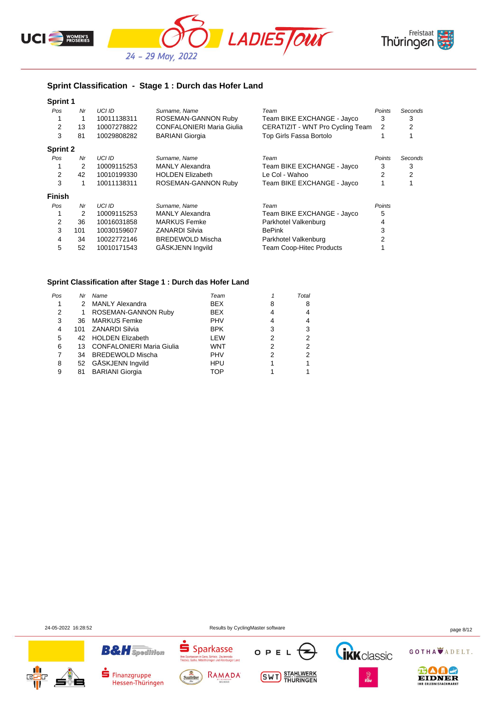![](_page_7_Picture_0.jpeg)

![](_page_7_Picture_1.jpeg)

![](_page_7_Picture_2.jpeg)

# **Sprint Classification - Stage 1 : Durch das Hofer Land**

| <b>Sprint 1</b> |     |               |                                  |                                  |        |         |
|-----------------|-----|---------------|----------------------------------|----------------------------------|--------|---------|
| Pos             | Nr  | UCI ID        | Surname, Name                    | Team                             | Points | Seconds |
|                 |     | 10011138311   | ROSEMAN-GANNON Ruby              | Team BIKE EXCHANGE - Jayco       | 3      | 3       |
| 2               | 13  | 10007278822   | <b>CONFALONIERI Maria Giulia</b> | CERATIZIT - WNT Pro Cycling Team | 2      |         |
| 3               | 81  | 10029808282   | <b>BARIANI Giorgia</b>           | Top Girls Fassa Bortolo          |        |         |
| <b>Sprint 2</b> |     |               |                                  |                                  |        |         |
| Pos             | Nr  | UCI ID        | Surname, Name                    | Team                             | Points | Seconds |
|                 | 2   | 10009115253   | <b>MANLY Alexandra</b>           | Team BIKE EXCHANGE - Jayco       | 3      | 3       |
| 2               | 42  | 10010199330   | <b>HOLDEN Elizabeth</b>          | Le Col - Wahoo                   | 2      | 2       |
| 3               |     | 10011138311   | ROSEMAN-GANNON Ruby              | Team BIKE EXCHANGE - Jayco       |        |         |
| <b>Finish</b>   |     |               |                                  |                                  |        |         |
| Pos             | Nr  | <b>UCI ID</b> | Surname, Name                    | Team                             | Points |         |
|                 | 2   | 10009115253   | <b>MANLY Alexandra</b>           | Team BIKE EXCHANGE - Jayco       | 5      |         |
| 2               | 36  | 10016031858   | <b>MARKUS Femke</b>              | Parkhotel Valkenburg             | 4      |         |
| 3               | 101 | 10030159607   | <b>ZANARDI Silvia</b>            | <b>BePink</b>                    | 3      |         |
| 4               | 34  | 10022772146   | <b>BREDEWOLD Mischa</b>          | Parkhotel Valkenburg             | 2      |         |
| 5               | 52  | 10010171543   | GÅSKJENN Ingvild                 | <b>Team Coop-Hitec Products</b>  |        |         |

## **Sprint Classification after Stage 1 : Durch das Hofer Land**

| Nr | Name                             | Team                                              |   | Total |
|----|----------------------------------|---------------------------------------------------|---|-------|
| 2  | <b>MANLY Alexandra</b>           | <b>BEX</b>                                        | 8 | 8     |
|    | ROSEMAN-GANNON Ruby              | <b>BEX</b>                                        |   | 4     |
| 36 | <b>MARKUS Femke</b>              | <b>PHV</b>                                        |   | 4     |
|    | ZANARDI Silvia                   | <b>BPK</b>                                        | 3 | 3     |
|    |                                  | LEW                                               | 2 | 2     |
| 13 | <b>CONFALONIERI Maria Giulia</b> | <b>WNT</b>                                        | 2 | 2     |
| 34 | <b>BREDEWOLD Mischa</b>          | <b>PHV</b>                                        | 2 | 2     |
|    |                                  | <b>HPU</b>                                        |   | 1     |
| 81 | <b>BARIANI</b> Giorgia           | TOP                                               |   |       |
|    |                                  | 101<br>42 HOLDEN Elizabeth<br>52 GÅSKJENN Ingvild |   |       |

**B&H** Spedition

Finanzgruppe

Hessen-Thüringen

24-05-2022 16:28:52 Results by CyclingMaster software page 8/12

OPEL

**SWT** STAHLWERK

![](_page_7_Picture_10.jpeg)

![](_page_7_Picture_11.jpeg)

 $S<sub>parkasse</sub>$ 

**Thre Sp**<br>Trinhas

Saalfelder

sen in Gera, Schleiz, Zeulenroda-<br>ha, Mittelthüringen und Altenburger Land

RAMADA

GOTHA ADELT.

**GRK** classic

![](_page_7_Picture_13.jpeg)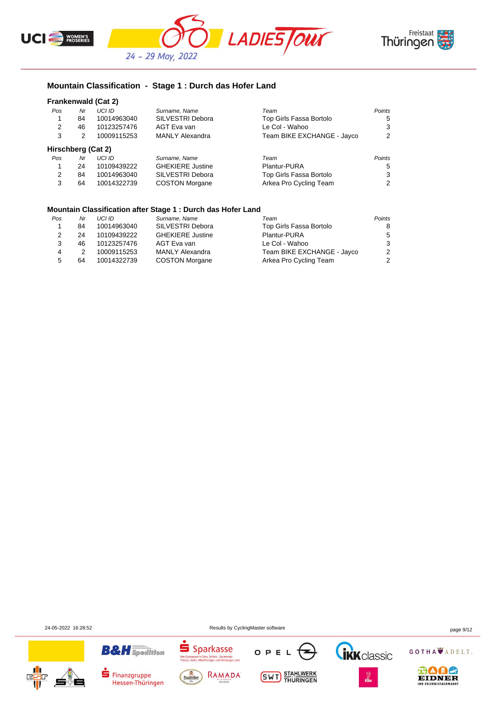![](_page_8_Picture_0.jpeg)

![](_page_8_Picture_1.jpeg)

## **Mountain Classification - Stage 1 : Durch das Hofer Land**

#### **Frankenwald (Cat 2)**

| Pos | Nr | <b>UCI ID</b>      | Surname, Name           | Team                       | Points |
|-----|----|--------------------|-------------------------|----------------------------|--------|
| 1   | 84 | 10014963040        | SILVESTRI Debora        | Top Girls Fassa Bortolo    | 5      |
| 2   | 46 | 10123257476        | AGT Eva van             | Le Col - Wahoo             | 3      |
| 3   | 2  | 10009115253        | <b>MANLY Alexandra</b>  | Team BIKE EXCHANGE - Jayco | 2      |
|     |    | Hirschberg (Cat 2) |                         |                            |        |
| Pos | Nr | UCI ID             | Surname, Name           | Team                       | Points |
| 1   | 24 | 10109439222        | <b>GHEKIERE Justine</b> | Plantur-PURA               | 5      |
| 2   | 84 | 10014963040        | SILVESTRI Debora        | Top Girls Fassa Bortolo    | 3      |
| 3   | 64 | 10014322739        | <b>COSTON Morgane</b>   | Arkea Pro Cycling Team     | 2      |
|     |    |                    |                         |                            |        |

#### **Mountain Classification after Stage 1 : Durch das Hofer Land**

| Pos | Nr  | UCI ID      | Surname, Name           | Team                       | Points |
|-----|-----|-------------|-------------------------|----------------------------|--------|
|     | 84  | 10014963040 | SILVESTRI Debora        | Top Girls Fassa Bortolo    | 8      |
|     | 24  | 10109439222 | <b>GHEKIERE Justine</b> | Plantur-PURA               | -5     |
|     | 46. | 10123257476 | AGT Eva van             | Le Col - Wahoo             | -3     |
|     |     | 10009115253 | <b>MANLY Alexandra</b>  | Team BIKE EXCHANGE - Jayco | 2      |
| 5   | 64  | 10014322739 | <b>COSTON Morgane</b>   | Arkea Pro Cycling Team     | 2      |

**B&H** Spedition

Finanzgruppe

Hessen-Thüringen

24-05-2022 16:28:52 Results by CyclingMaster software page 9/12

OPEL

**SWT** STAHLWERK

![](_page_8_Picture_9.jpeg)

![](_page_8_Picture_10.jpeg)

![](_page_8_Picture_11.jpeg)

 $\dot{\mathbf{S}}$  Sparkasse

Saalfelder

Gera, Schleiz, Zeulenroda-<br>1 Gera, Schleiz, Zeulenroda-<br>ittelthüringen und Altenburger Land

RAMADA

![](_page_8_Picture_12.jpeg)

**GRK** classic

![](_page_8_Picture_13.jpeg)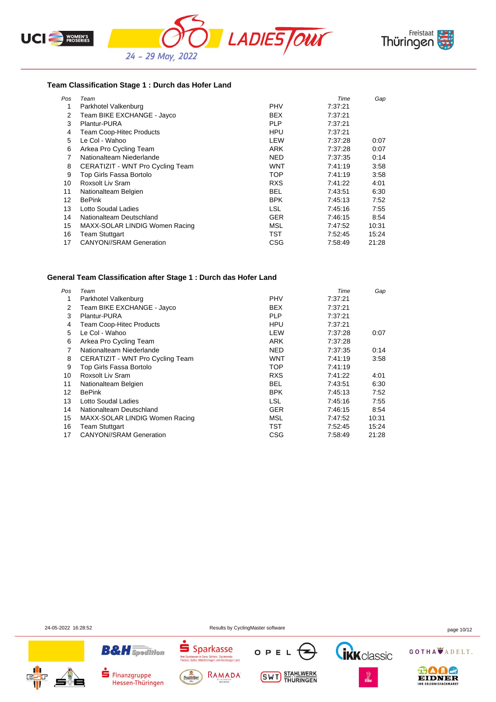![](_page_9_Picture_0.jpeg)

![](_page_9_Picture_1.jpeg)

![](_page_9_Picture_2.jpeg)

#### **Team Classification Stage 1 : Durch das Hofer Land**

| Pos | Team                             |            | Time    | Gap   |
|-----|----------------------------------|------------|---------|-------|
| 1   | Parkhotel Valkenburg             | <b>PHV</b> | 7:37:21 |       |
| 2   | Team BIKE EXCHANGE - Jayco       | <b>BEX</b> | 7:37:21 |       |
| 3   | <b>Plantur-PURA</b>              | <b>PLP</b> | 7:37:21 |       |
| 4   | <b>Team Coop-Hitec Products</b>  | <b>HPU</b> | 7:37:21 |       |
| 5   | Le Col - Wahoo                   | LEW        | 7:37:28 | 0:07  |
| 6   | Arkea Pro Cycling Team           | ARK        | 7:37:28 | 0:07  |
| 7   | Nationalteam Niederlande         | NED        | 7:37:35 | 0:14  |
| 8   | CERATIZIT - WNT Pro Cycling Team | WNT        | 7:41:19 | 3:58  |
| 9   | Top Girls Fassa Bortolo          | <b>TOP</b> | 7:41:19 | 3:58  |
| 10  | Roxsolt Liv Sram                 | <b>RXS</b> | 7:41:22 | 4:01  |
| 11  | Nationalteam Belgien             | <b>BEL</b> | 7:43:51 | 6:30  |
| 12  | <b>BePink</b>                    | <b>BPK</b> | 7:45:13 | 7:52  |
| 13  | Lotto Soudal Ladies              | <b>LSL</b> | 7:45:16 | 7:55  |
| 14  | Nationalteam Deutschland         | <b>GER</b> | 7:46:15 | 8:54  |
| 15  | MAXX-SOLAR LINDIG Women Racing   | <b>MSL</b> | 7:47:52 | 10:31 |
| 16  | <b>Team Stuttgart</b>            | TST        | 7:52:45 | 15:24 |
| 17  | <b>CANYON//SRAM Generation</b>   | <b>CSG</b> | 7:58:49 | 21:28 |

#### **General Team Classification after Stage 1 : Durch das Hofer Land**

| Pos | Team                             |            | Time    | Gap   |
|-----|----------------------------------|------------|---------|-------|
| 1   | Parkhotel Valkenburg             | <b>PHV</b> | 7:37:21 |       |
| 2   | Team BIKE EXCHANGE - Jayco       | <b>BEX</b> | 7:37:21 |       |
| 3   | Plantur-PURA                     | <b>PLP</b> | 7:37:21 |       |
| 4   | <b>Team Coop-Hitec Products</b>  | <b>HPU</b> | 7:37:21 |       |
| 5   | Le Col - Wahoo                   | LEW        | 7:37:28 | 0:07  |
| 6   | Arkea Pro Cycling Team           | ARK        | 7.37.28 |       |
| 7   | Nationalteam Niederlande         | <b>NED</b> | 7.37.35 | 0:14  |
| 8   | CERATIZIT - WNT Pro Cycling Team | <b>WNT</b> | 7:41:19 | 3:58  |
| 9   | Top Girls Fassa Bortolo          | <b>TOP</b> | 7:41:19 |       |
| 10  | Roxsolt Liv Sram                 | <b>RXS</b> | 7:41:22 | 4:01  |
| 11  | Nationalteam Belgien             | <b>BEL</b> | 7:43:51 | 6:30  |
| 12  | <b>BePink</b>                    | <b>BPK</b> | 7.45.13 | 7:52  |
| 13  | Lotto Soudal Ladies              | LSL        | 7:45:16 | 7:55  |
| 14  | Nationalteam Deutschland         | <b>GER</b> | 7:46:15 | 8:54  |
| 15  | MAXX-SOLAR LINDIG Women Racing   | MSL        | 7:47:52 | 10:31 |
| 16  | <b>Team Stuttgart</b>            | TST        | 7:52:45 | 15:24 |
| 17  | <b>CANYON//SRAM Generation</b>   | CSG        | 7:58:49 | 21:28 |

**B&H** Spedition

Finanzgruppe

Hessen-Thüringen

OPEL

**SWT** STAHLWERK

![](_page_9_Picture_10.jpeg)

24-05-2022 16:28:52 Results by CyclingMaster software page 10/12

 $\dot{\mathbf{S}}$  Sparkasse

Saalfelder

Gera, Schleiz, Zeulenroda-<br>1 Gera, Schleiz, Zeulenroda-<br>ittelthüringen und Altenburger Land

RAMADA

GOTHA ADELT.

**TRK** classic

![](_page_9_Picture_13.jpeg)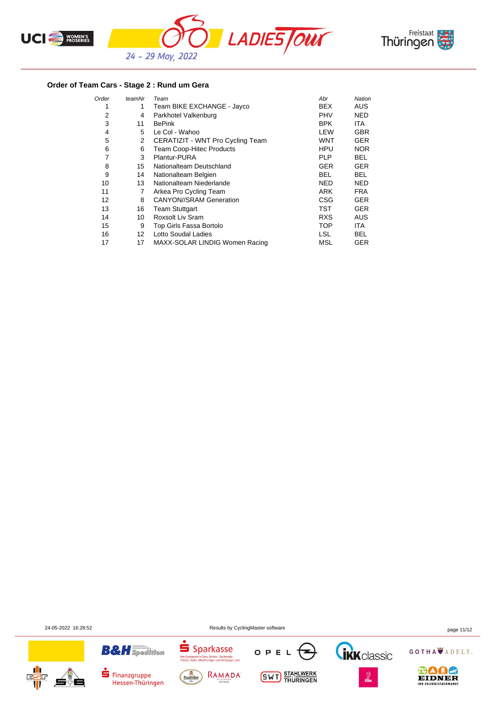![](_page_10_Picture_0.jpeg)

![](_page_10_Picture_1.jpeg)

![](_page_10_Picture_2.jpeg)

## **Order of Team Cars - Stage 2 : Rund um Gera**

| Order | teamNr            | Team                             | Abr        | <b>Nation</b> |
|-------|-------------------|----------------------------------|------------|---------------|
| 1     | 1                 | Team BIKE EXCHANGE - Jayco       | <b>BEX</b> | <b>AUS</b>    |
| 2     | 4                 | Parkhotel Valkenburg             | <b>PHV</b> | <b>NED</b>    |
| 3     | 11                | <b>BePink</b>                    | <b>BPK</b> | <b>ITA</b>    |
| 4     | 5                 | Le Col - Wahoo                   | LEW        | <b>GBR</b>    |
| 5     | 2                 | CERATIZIT - WNT Pro Cycling Team | <b>WNT</b> | <b>GER</b>    |
| 6     | 6                 | <b>Team Coop-Hitec Products</b>  | <b>HPU</b> | <b>NOR</b>    |
| 7     | 3                 | Plantur-PURA                     | <b>PLP</b> | <b>BEL</b>    |
| 8     | 15                | Nationalteam Deutschland         | <b>GER</b> | <b>GER</b>    |
| 9     | 14                | Nationalteam Belgien             | BEL        | BEL.          |
| 10    | 13                | Nationalteam Niederlande         | <b>NED</b> | <b>NED</b>    |
| 11    | 7                 | Arkea Pro Cycling Team           | <b>ARK</b> | <b>FRA</b>    |
| 12    | 8                 | <b>CANYON//SRAM Generation</b>   | CSG        | <b>GER</b>    |
| 13    | 16                | <b>Team Stuttgart</b>            | TST        | <b>GER</b>    |
| 14    | 10                | Roxsolt Liv Sram                 | <b>RXS</b> | <b>AUS</b>    |
| 15    | 9                 | Top Girls Fassa Bortolo          | TOP        | <b>ITA</b>    |
| 16    | $12 \overline{ }$ | Lotto Soudal Ladies              | LSL        | BEL.          |
| 17    | 17                | MAXX-SOLAR LINDIG Women Racing   | MSL        | <b>GER</b>    |

24-05-2022 16:28:52 Results by CyclingMaster software page 11/12

![](_page_10_Picture_7.jpeg)

![](_page_10_Picture_8.jpeg)

![](_page_10_Picture_9.jpeg)

**B&H** Spedition

![](_page_10_Picture_10.jpeg)

**Thre Spa**<br>Trinhae

Sparkasse

.<br>1 Gera, Schleiz, Zeulenroda-<br>ittelthüringen und Altenburger Land

![](_page_10_Picture_11.jpeg)

![](_page_10_Picture_12.jpeg)

![](_page_10_Picture_13.jpeg)

![](_page_10_Picture_14.jpeg)